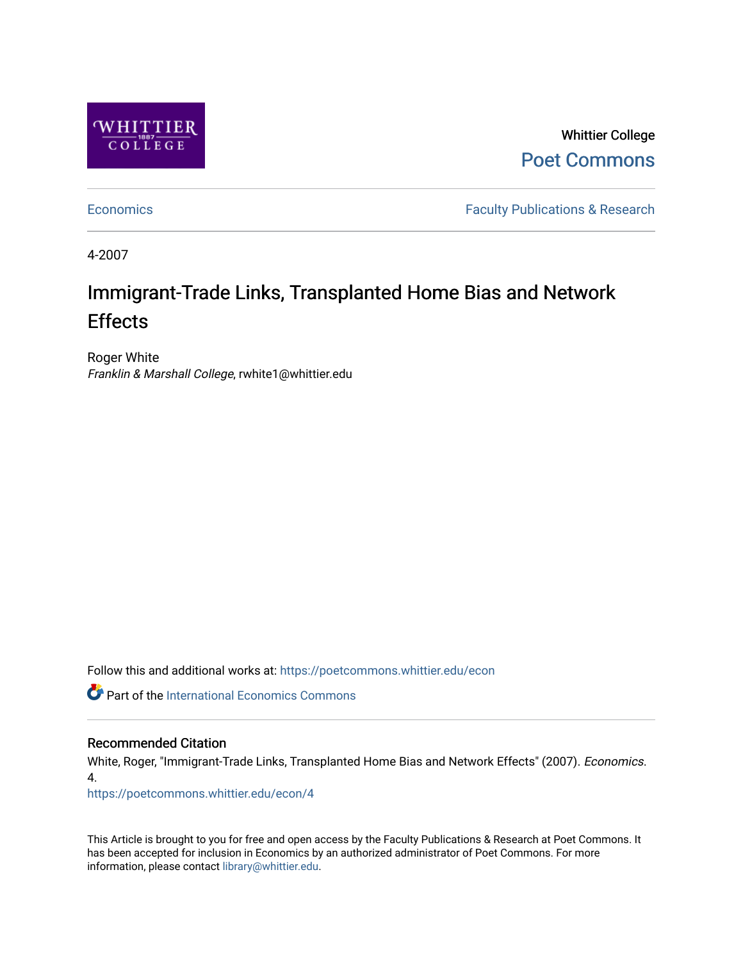

Whittier College [Poet Commons](https://poetcommons.whittier.edu/) 

[Economics](https://poetcommons.whittier.edu/econ) **Faculty Publications & Research** 

4-2007

## Immigrant-Trade Links, Transplanted Home Bias and Network **Effects**

Roger White Franklin & Marshall College, rwhite1@whittier.edu

Follow this and additional works at: [https://poetcommons.whittier.edu/econ](https://poetcommons.whittier.edu/econ?utm_source=poetcommons.whittier.edu%2Fecon%2F4&utm_medium=PDF&utm_campaign=PDFCoverPages)

**C** Part of the International Economics Commons

### Recommended Citation

White, Roger, "Immigrant-Trade Links, Transplanted Home Bias and Network Effects" (2007). Economics. 4.

[https://poetcommons.whittier.edu/econ/4](https://poetcommons.whittier.edu/econ/4?utm_source=poetcommons.whittier.edu%2Fecon%2F4&utm_medium=PDF&utm_campaign=PDFCoverPages) 

This Article is brought to you for free and open access by the Faculty Publications & Research at Poet Commons. It has been accepted for inclusion in Economics by an authorized administrator of Poet Commons. For more information, please contact [library@whittier.edu.](mailto:library@whittier.edu)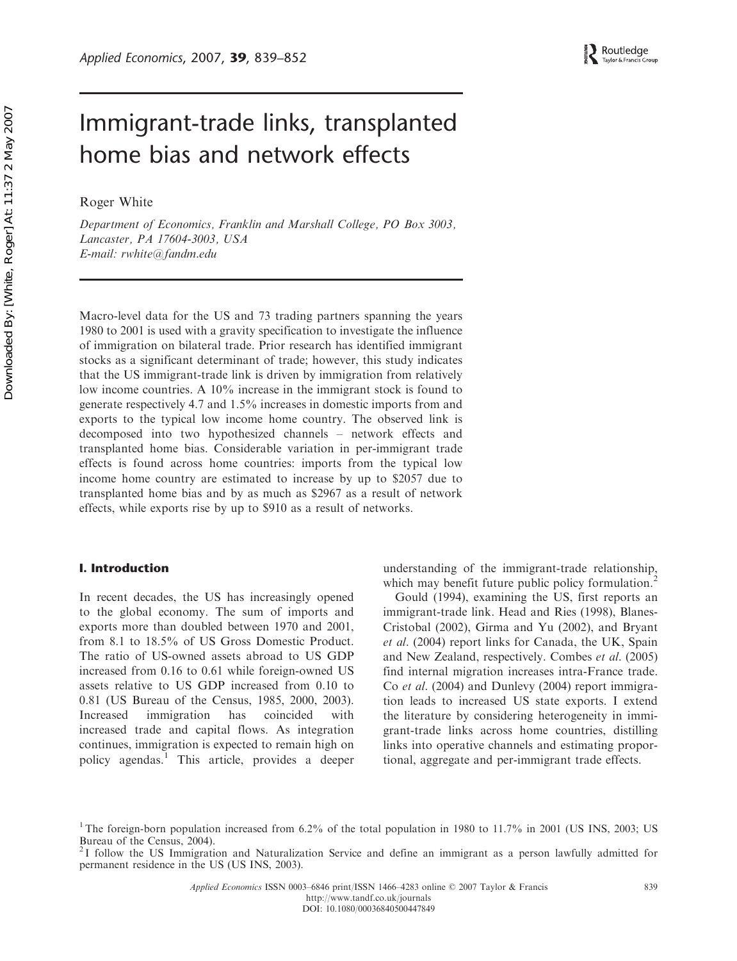# Immigrant-trade links, transplanted home bias and network effects

Roger White

Department of Economics, Franklin and Marshall College, PO Box 3003, Lancaster, PA 17604-3003, USA E-mail: rwhite@fandm.edu

Macro-level data for the US and 73 trading partners spanning the years 1980 to 2001 is used with a gravity specification to investigate the influence of immigration on bilateral trade. Prior research has identified immigrant stocks as a significant determinant of trade; however, this study indicates that the US immigrant-trade link is driven by immigration from relatively low income countries. A 10% increase in the immigrant stock is found to generate respectively 4.7 and 1.5% increases in domestic imports from and exports to the typical low income home country. The observed link is decomposed into two hypothesized channels – network effects and transplanted home bias. Considerable variation in per-immigrant trade effects is found across home countries: imports from the typical low income home country are estimated to increase by up to \$2057 due to transplanted home bias and by as much as \$2967 as a result of network effects, while exports rise by up to \$910 as a result of networks.

#### I. Introduction

In recent decades, the US has increasingly opened to the global economy. The sum of imports and exports more than doubled between 1970 and 2001, from 8.1 to 18.5% of US Gross Domestic Product. The ratio of US-owned assets abroad to US GDP increased from 0.16 to 0.61 while foreign-owned US assets relative to US GDP increased from 0.10 to 0.81 (US Bureau of the Census, 1985, 2000, 2003). Increased immigration has coincided with increased trade and capital flows. As integration continues, immigration is expected to remain high on policy agendas.<sup>1</sup> This article, provides a deeper understanding of the immigrant-trade relationship, which may benefit future public policy formulation.<sup>2</sup>

Gould (1994), examining the US, first reports an immigrant-trade link. Head and Ries (1998), Blanes-Cristobal (2002), Girma and Yu (2002), and Bryant et al. (2004) report links for Canada, the UK, Spain and New Zealand, respectively. Combes et al. (2005) find internal migration increases intra-France trade. Co et al. (2004) and Dunlevy (2004) report immigration leads to increased US state exports. I extend the literature by considering heterogeneity in immigrant-trade links across home countries, distilling links into operative channels and estimating proportional, aggregate and per-immigrant trade effects.

<sup>&</sup>lt;sup>1</sup>The foreign-born population increased from 6.2% of the total population in 1980 to 11.7% in 2001 (US INS, 2003; US Bureau of the Census, 2004).

<sup>&</sup>lt;sup>2</sup>I follow the US Immigration and Naturalization Service and define an immigrant as a person lawfully admitted for permanent residence in the US (US INS, 2003).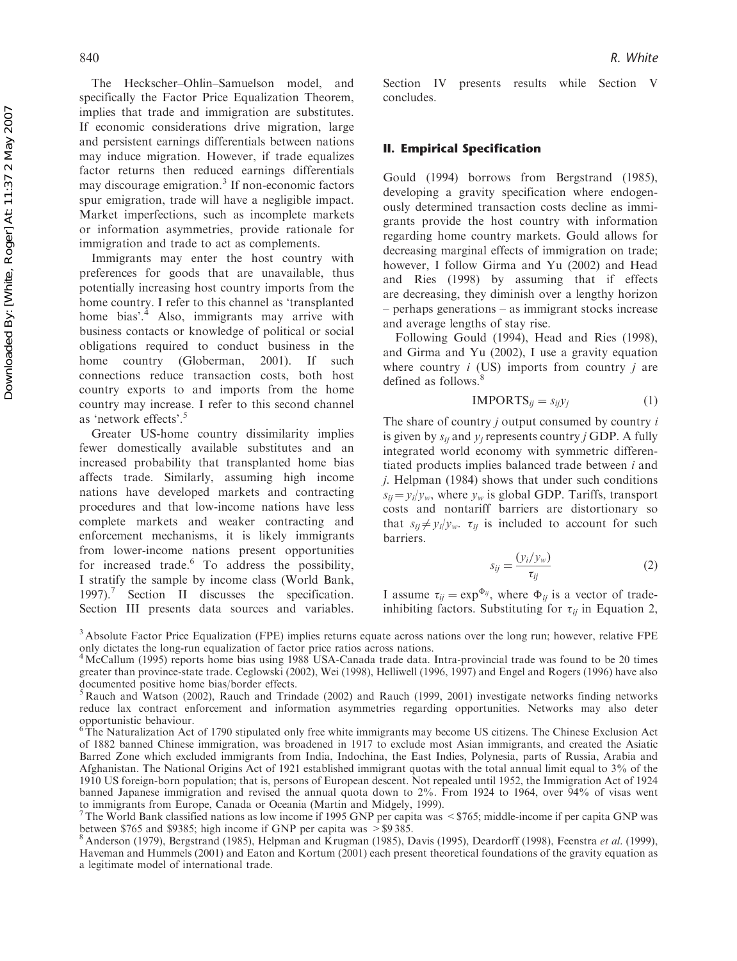The Heckscher–Ohlin–Samuelson model, and specifically the Factor Price Equalization Theorem, implies that trade and immigration are substitutes. If economic considerations drive migration, large and persistent earnings differentials between nations may induce migration. However, if trade equalizes factor returns then reduced earnings differentials may discourage emigration.<sup>3</sup> If non-economic factors spur emigration, trade will have a negligible impact. Market imperfections, such as incomplete markets or information asymmetries, provide rationale for immigration and trade to act as complements.

Immigrants may enter the host country with preferences for goods that are unavailable, thus potentially increasing host country imports from the home country. I refer to this channel as 'transplanted home bias'. $^{4}$  Also, immigrants may arrive with business contacts or knowledge of political or social obligations required to conduct business in the home country (Globerman, 2001). If such connections reduce transaction costs, both host country exports to and imports from the home country may increase. I refer to this second channel as 'network effects'.<sup>5</sup>

Greater US-home country dissimilarity implies fewer domestically available substitutes and an increased probability that transplanted home bias affects trade. Similarly, assuming high income nations have developed markets and contracting procedures and that low-income nations have less complete markets and weaker contracting and enforcement mechanisms, it is likely immigrants from lower-income nations present opportunities for increased trade.<sup>6</sup> To address the possibility, I stratify the sample by income class (World Bank, 1997).<sup>7</sup> Section II discusses the specification. Section III presents data sources and variables.

Section IV presents results while Section V concludes.

#### II. Empirical Specification

Gould (1994) borrows from Bergstrand (1985), developing a gravity specification where endogenously determined transaction costs decline as immigrants provide the host country with information regarding home country markets. Gould allows for decreasing marginal effects of immigration on trade; however, I follow Girma and Yu (2002) and Head and Ries (1998) by assuming that if effects are decreasing, they diminish over a lengthy horizon – perhaps generations – as immigrant stocks increase and average lengths of stay rise.

Following Gould (1994), Head and Ries (1998), and Girma and Yu (2002), I use a gravity equation where country  $i$  (US) imports from country  $j$  are defined as follows.<sup>8</sup>

$$
IMPORTS_{ij} = s_{ij}y_j \tag{1}
$$

The share of country  $j$  output consumed by country  $i$ is given by  $s_{ij}$  and  $y_j$  represents country *j* GDP. A fully integrated world economy with symmetric differentiated products implies balanced trade between i and j. Helpman (1984) shows that under such conditions  $s_{ij} = y_i/y_w$ , where  $y_w$  is global GDP. Tariffs, transport costs and nontariff barriers are distortionary so that  $s_{ij} \neq y_i/y_w$ .  $\tau_{ij}$  is included to account for such barriers.

$$
s_{ij} = \frac{(y_i/y_w)}{\tau_{ij}}
$$
 (2)

I assume  $\tau_{ij} = \exp^{\Phi_{ij}}$ , where  $\Phi_{ij}$  is a vector of tradeinhibiting factors. Substituting for  $\tau_{ij}$  in Equation 2,

<sup>&</sup>lt;sup>3</sup> Absolute Factor Price Equalization (FPE) implies returns equate across nations over the long run; however, relative FPE

only dictates the long-run equalization of factor price ratios across nations. 4McCallum (1995) reports home bias using 1988 USA-Canada trade data. Intra-provincial trade was found to be 20 times greater than province-state trade. Ceglowski (2002), Wei (1998), Helliwell (1996, 1997) and Engel and Rogers (1996) have also documented positive home bias/border effects.

<sup>&</sup>lt;sup>5</sup> Rauch and Watson (2002), Rauch and Trindade (2002) and Rauch (1999, 2001) investigate networks finding networks reduce lax contract enforcement and information asymmetries regarding opportunities. Networks may also deter opportunistic behaviour.

<sup>&</sup>lt;sup>6</sup>The Naturalization Act of 1790 stipulated only free white immigrants may become US citizens. The Chinese Exclusion Act of 1882 banned Chinese immigration, was broadened in 1917 to exclude most Asian immigrants, and created the Asiatic Barred Zone which excluded immigrants from India, Indochina, the East Indies, Polynesia, parts of Russia, Arabia and Afghanistan. The National Origins Act of 1921 established immigrant quotas with the total annual limit equal to 3% of the 1910 US foreign-born population; that is, persons of European descent. Not repealed until 1952, the Immigration Act of 1924 banned Japanese immigration and revised the annual quota down to 2%. From 1924 to 1964, over 94% of visas went to immigrants from Europe, Canada or Oceania (Martin and Midgely, 1999).

<sup>&</sup>lt;sup>7</sup>The World Bank classified nations as low income if 1995 GNP per capita was  $\leq$  \$765; middle-income if per capita GNP was between \$765 and \$9385; high income if GNP per capita was >\$9 385.

 $8$  Anderson (1979), Bergstrand (1985), Helpman and Krugman (1985), Davis (1995), Deardorff (1998), Feenstra *et al.* (1999), Haveman and Hummels (2001) and Eaton and Kortum (2001) each present theoretical foundations of the gravity equation as a legitimate model of international trade.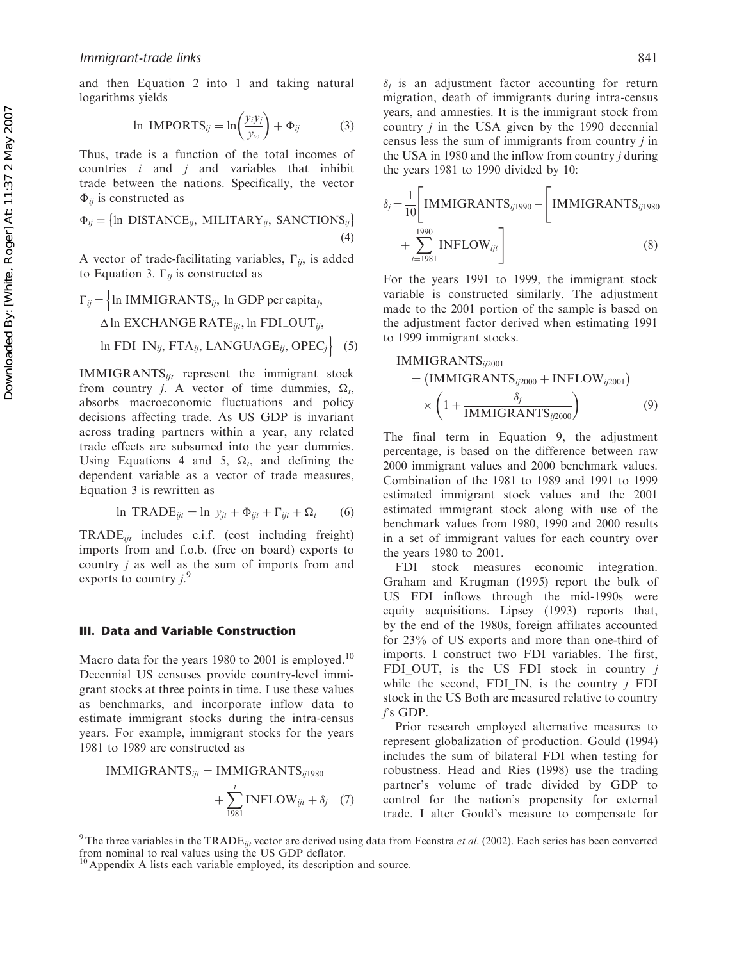#### Immigrant-trade links 841

and then Equation 2 into 1 and taking natural logarithms yields

ln IMPORTS<sub>ij</sub> = 
$$
\ln\left(\frac{y_i y_j}{y_w}\right) + \Phi_{ij}
$$
 (3)

Thus, trade is a function of the total incomes of countries  $i$  and  $j$  and variables that inhibit trade between the nations. Specifically, the vector  $\Phi_{ij}$  is constructed as

$$
\Phi_{ij} = \{ \text{In DISTANCE}_{ij}, \text{ MILITARY}_{ij}, \text{SANCTIONS}_{ij} \}
$$
\n
$$
\tag{4}
$$

A vector of trade-facilitating variables,  $\Gamma_{ij}$ , is added to Equation 3.  $\Gamma_{ij}$  is constructed as

$$
\Gamma_{ij} = \left\{ \text{In IMMIGRANTS}_{ij}, \text{ In GDP per capita}_{j}, \Delta \text{In EXCHANGE RATE}_{ijt}, \text{In FDI_OUT}_{ij}, \Delta \text{In FDI_IN}_{ij}, \text{FTA}_{ij}, \text{LANGUAGE}_{ij}, \text{OPEC}_{j} \right\}
$$
 (5)

 $IMMIGRANTS<sub>ijt</sub>$  represent the immigrant stock from country *j*. A vector of time dummies,  $\Omega_t$ , absorbs macroeconomic fluctuations and policy decisions affecting trade. As US GDP is invariant across trading partners within a year, any related trade effects are subsumed into the year dummies. Using Equations 4 and 5,  $\Omega_t$ , and defining the dependent variable as a vector of trade measures, Equation 3 is rewritten as

$$
\ln \text{TRADE}_{ijt} = \ln y_{jt} + \Phi_{ijt} + \Gamma_{ijt} + \Omega_t \qquad (6)
$$

 $TRADE_{ii}$  includes c.i.f. (cost including freight) imports from and f.o.b. (free on board) exports to country j as well as the sum of imports from and exports to country  $j^9$ .

#### III. Data and Variable Construction

Macro data for the years 1980 to 2001 is employed.<sup>10</sup> Decennial US censuses provide country-level immigrant stocks at three points in time. I use these values as benchmarks, and incorporate inflow data to estimate immigrant stocks during the intra-census years. For example, immigrant stocks for the years 1981 to 1989 are constructed as

IMMIGRANTS<sub>ijt</sub> = IMMIGRANTS<sub>ij1980</sub>  
+ 
$$
\sum_{1981}^{t}
$$
INFLOW<sub>ijt</sub> +  $\delta_j$  (7)

 $\delta_j$  is an adjustment factor accounting for return migration, death of immigrants during intra-census years, and amnesties. It is the immigrant stock from country j in the USA given by the 1990 decennial census less the sum of immigrants from country  *in* the USA in 1980 and the inflow from country j during the years 1981 to 1990 divided by 10:

$$
\delta_j = \frac{1}{10} \left[ \text{IMMIGRANTS}_{ij1990} - \left[ \text{IMMIGRANTS}_{ij1980} + \sum_{t=1981}^{1990} \text{INFLOW}_{ijt} \right] \right]
$$
(8)

For the years 1991 to 1999, the immigrant stock variable is constructed similarly. The adjustment made to the 2001 portion of the sample is based on the adjustment factor derived when estimating 1991 to 1999 immigrant stocks.

IMMIGRANTS<sub>ij2001</sub>  
= (IMMIGRANTS<sub>ij2000</sub> + INFLOW<sub>ij2001</sub>)  

$$
\times \left(1 + \frac{\delta_j}{IMMIGRANTS_{ij2000}}\right) \tag{9}
$$

The final term in Equation 9, the adjustment percentage, is based on the difference between raw 2000 immigrant values and 2000 benchmark values. Combination of the 1981 to 1989 and 1991 to 1999 estimated immigrant stock values and the 2001 estimated immigrant stock along with use of the benchmark values from 1980, 1990 and 2000 results in a set of immigrant values for each country over the years 1980 to 2001.

FDI stock measures economic integration. Graham and Krugman (1995) report the bulk of US FDI inflows through the mid-1990s were equity acquisitions. Lipsey (1993) reports that, by the end of the 1980s, foreign affiliates accounted for 23% of US exports and more than one-third of imports. I construct two FDI variables. The first, FDI OUT, is the US FDI stock in country j while the second, FDI\_IN, is the country  $j$  FDI stock in the US Both are measured relative to country j's GDP.

Prior research employed alternative measures to represent globalization of production. Gould (1994) includes the sum of bilateral FDI when testing for robustness. Head and Ries (1998) use the trading partner's volume of trade divided by GDP to control for the nation's propensity for external trade. I alter Gould's measure to compensate for

<sup>9</sup>The three variables in the TRADE<sub>ijt</sub> vector are derived using data from Feenstra *et al.* (2002). Each series has been converted from nominal to real values using the US GDP deflator. <sup>10</sup> Appendix A lists each variable employed, its description and source.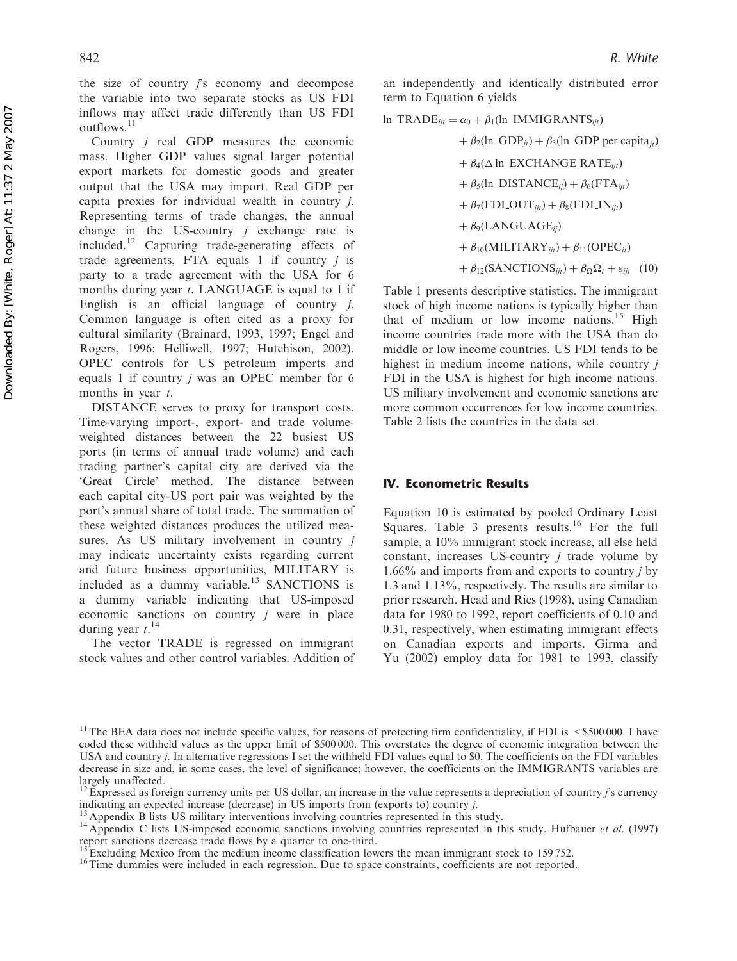the size of country  $\vec{j}$ 's economy and decompose the variable into two separate stocks as US FDI inflows may affect trade differently than US FDI outflows.<sup>11</sup>

Country j real GDP measures the economic mass. Higher GDP values signal larger potential export markets for domestic goods and greater output that the USA may import. Real GDP per capita proxies for individual wealth in country j. Representing terms of trade changes, the annual change in the US-country  $j$  exchange rate is included.<sup>12</sup> Capturing trade-generating effects of trade agreements, FTA equals 1 if country  $j$  is party to a trade agreement with the USA for 6 months during year  $t$ . LANGUAGE is equal to 1 if English is an official language of country j. Common language is often cited as a proxy for cultural similarity (Brainard, 1993, 1997; Engel and Rogers, 1996; Helliwell, 1997; Hutchison, 2002). OPEC controls for US petroleum imports and equals 1 if country j was an OPEC member for 6 months in year  $t$ .

DISTANCE serves to proxy for transport costs. Time-varying import-, export- and trade volumeweighted distances between the 22 busiest US ports (in terms of annual trade volume) and each trading partner's capital city are derived via the 'Great Circle' method. The distance between each capital city-US port pair was weighted by the port's annual share of total trade. The summation of these weighted distances produces the utilized measures. As US military involvement in country j may indicate uncertainty exists regarding current and future business opportunities, MILITARY is included as a dummy variable.<sup>13</sup> SANCTIONS is a dummy variable indicating that US-imposed economic sanctions on country j were in place during year  $t$ .<sup>14</sup>

The vector TRADE is regressed on immigrant stock values and other control variables. Addition of an independently and identically distributed error term to Equation 6 yields

$$
ln TRADEijt = α0 + β1(ln IMMIGRANTSijt)
$$
  
+ β<sub>2</sub>(ln GDP<sub>jt</sub>) + β<sub>3</sub>(ln GDP per capita<sub>jt</sub>)  
+ β<sub>4</sub>(Δ ln EXCHANGE RATE<sub>ijt</sub>)  
+ β<sub>5</sub>(ln DISTANCE<sub>ij</sub>) + β<sub>6</sub>(FTA<sub>ijt</sub>)  
+ β<sub>7</sub>(FDLOUT<sub>ijt</sub>) + β<sub>8</sub>(FDI\_IN<sub>ijt</sub>)  
+ β<sub>9</sub>(LANGUAGE<sub>ij</sub>)  
+ β<sub>10</sub>(MILITARY<sub>ijt</sub>) + β<sub>11</sub>(OPEC<sub>it</sub>)  
+ β<sub>12</sub>(SANCTIONS<sub>ijt</sub>) + β<sub>Ω</sub>Ω<sub>t</sub> + ε<sub>ijt</sub> (10)

Table 1 presents descriptive statistics. The immigrant stock of high income nations is typically higher than that of medium or low income nations.<sup>15</sup> High income countries trade more with the USA than do middle or low income countries. US FDI tends to be highest in medium income nations, while country *i* FDI in the USA is highest for high income nations. US military involvement and economic sanctions are more common occurrences for low income countries. Table 2 lists the countries in the data set.

#### IV. Econometric Results

Equation 10 is estimated by pooled Ordinary Least Squares. Table 3 presents results.<sup>16</sup> For the full sample, a 10% immigrant stock increase, all else held constant, increases US-country  $j$  trade volume by 1.66% and imports from and exports to country  $j$  by 1.3 and 1.13%, respectively. The results are similar to prior research. Head and Ries (1998), using Canadian data for 1980 to 1992, report coefficients of 0.10 and 0.31, respectively, when estimating immigrant effects on Canadian exports and imports. Girma and Yu (2002) employ data for 1981 to 1993, classify

<sup>&</sup>lt;sup>11</sup> The BEA data does not include specific values, for reasons of protecting firm confidentiality, if FDI is  $< $500\,000$ . I have coded these withheld values as the upper limit of \$500 000. This overstates the degree of economic integration between the USA and country j. In alternative regressions I set the withheld FDI values equal to \$0. The coefficients on the FDI variables decrease in size and, in some cases, the level of significance; however, the coefficients on the IMMIGRANTS variables are largely unaffected.

<sup>&</sup>lt;sup>12</sup> Expressed as foreign currency units per US dollar, an increase in the value represents a depreciation of country j's currency indicating an expected increase (decrease) in US imports from (exports to) country j.

<sup>&</sup>lt;sup>13</sup> Appendix B lists US military interventions involving countries represented in this study.<br><sup>14</sup> Appendix C lists US-imposed economic sanctions involving countries represented in this study. Hufbauer *et al.* (1997)

report sanctions decrease trade flows by a quarter to one-third.<br><sup>15</sup> Excluding Mexico from the medium income classification lowers the mean immigrant stock to 159752.

<sup>&</sup>lt;sup>16</sup>Time dummies were included in each regression. Due to space constraints, coefficients are not reported.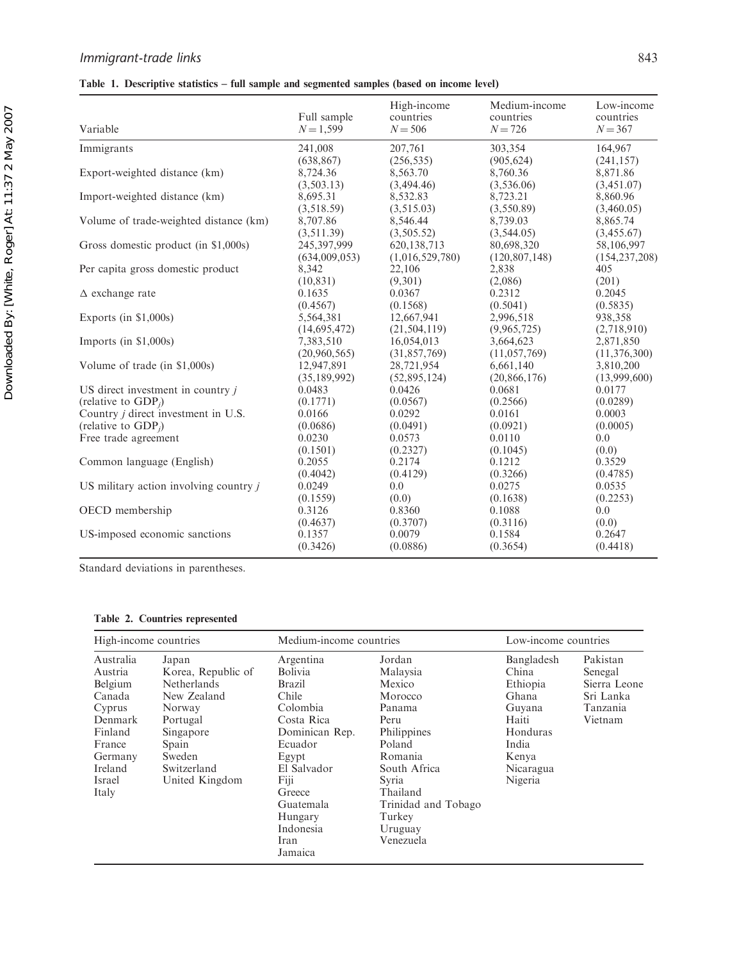### Immigrant-trade links 843

|  |  | Table 1. Descriptive statistics - full sample and segmented samples (based on income level) |
|--|--|---------------------------------------------------------------------------------------------|
|  |  |                                                                                             |

| Variable                                   | Full sample<br>$N = 1,599$ | High-income<br>countries<br>$N = 506$ | Medium-income<br>countries<br>$N = 726$ | Low-income<br>countries<br>$N = 367$ |
|--------------------------------------------|----------------------------|---------------------------------------|-----------------------------------------|--------------------------------------|
| Immigrants                                 | 241,008                    | 207,761                               | 303,354                                 | 164,967                              |
|                                            | (638, 867)                 | (256, 535)                            | (905, 624)                              | (241, 157)                           |
| Export-weighted distance (km)              | 8,724.36                   | 8,563.70                              | 8,760.36                                | 8,871.86                             |
|                                            | (3,503.13)                 | (3,494.46)                            | (3,536.06)                              | (3,451.07)                           |
| Import-weighted distance (km)              | 8.695.31                   | 8,532.83                              | 8,723.21                                | 8,860.96                             |
|                                            | (3,518.59)                 | (3,515.03)                            | (3,550.89)                              | (3,460.05)                           |
| Volume of trade-weighted distance (km)     | 8,707.86                   | 8,546.44                              | 8,739.03                                | 8,865.74                             |
|                                            | (3,511.39)                 | (3,505.52)                            | (3,544.05)                              | (3,455.67)                           |
| Gross domestic product (in \$1,000s)       | 245,397,999                | 620, 138, 713                         | 80,698,320                              | 58,106,997                           |
|                                            | (634,009,053)              | (1,016,529,780)                       | (120, 807, 148)                         | (154, 237, 208)                      |
| Per capita gross domestic product          | 8,342                      | 22,106                                | 2,838                                   | 405                                  |
|                                            | (10, 831)                  | (9,301)                               | (2,086)                                 | (201)                                |
| $\Delta$ exchange rate                     | 0.1635                     | 0.0367                                | 0.2312                                  | 0.2045                               |
|                                            | (0.4567)                   | (0.1568)                              | (0.5041)                                | (0.5835)                             |
| Exports (in $$1,000s$ )                    | 5,564,381                  | 12,667,941                            | 2,996,518                               | 938,358                              |
|                                            | (14,695,472)               | (21, 504, 119)                        | (9,965,725)                             | (2,718,910)                          |
| Imports (in $$1,000s$ )                    | 7,383,510                  | 16,054,013                            | 3,664,623                               | 2,871,850                            |
|                                            | (20,960,565)               | (31,857,769)                          | (11, 057, 769)                          | (11, 376, 300)                       |
| Volume of trade (in \$1,000s)              | 12,947,891                 | 28,721,954                            | 6,661,140                               | 3,810,200                            |
|                                            | (35, 189, 992)             | (52,895,124)                          | (20, 866, 176)                          | (13,999,600)                         |
| US direct investment in country $j$        | 0.0483                     | 0.0426                                | 0.0681                                  | 0.0177                               |
| (relative to $GDP_i$ )                     | (0.1771)                   | (0.0567)                              | (0.2566)                                | (0.0289)                             |
| Country <i>j</i> direct investment in U.S. | 0.0166                     | 0.0292                                | 0.0161                                  | 0.0003                               |
| (relative to $GDP_i$ )                     | (0.0686)                   | (0.0491)                              | (0.0921)                                | (0.0005)                             |
| Free trade agreement                       | 0.0230                     | 0.0573                                | 0.0110                                  | 0.0                                  |
|                                            | (0.1501)                   | (0.2327)                              | (0.1045)                                | (0.0)                                |
| Common language (English)                  | 0.2055                     | 0.2174                                | 0.1212                                  | 0.3529                               |
|                                            | (0.4042)                   | (0.4129)                              | (0.3266)                                | (0.4785)                             |
| US military action involving country $j$   | 0.0249                     | 0.0                                   | 0.0275                                  | 0.0535                               |
|                                            | (0.1559)                   | (0.0)                                 | (0.1638)                                | (0.2253)                             |
| OECD membership                            | 0.3126                     | 0.8360                                | 0.1088                                  | 0.0                                  |
|                                            | (0.4637)                   | (0.3707)                              | (0.3116)                                | (0.0)                                |
| US-imposed economic sanctions              | 0.1357                     | 0.0079                                | 0.1584                                  | 0.2647                               |
|                                            |                            |                                       |                                         |                                      |

Standard deviations in parentheses.

#### Table 2. Countries represented

| High-income countries                                                                                                        |                                                                                                                                                         | Medium-income countries                                                                                                                                                                                 |                                                                                                                                                                                             | Low-income countries                                                                                              |                                                                         |
|------------------------------------------------------------------------------------------------------------------------------|---------------------------------------------------------------------------------------------------------------------------------------------------------|---------------------------------------------------------------------------------------------------------------------------------------------------------------------------------------------------------|---------------------------------------------------------------------------------------------------------------------------------------------------------------------------------------------|-------------------------------------------------------------------------------------------------------------------|-------------------------------------------------------------------------|
| Australia<br>Austria<br>Belgium<br>Canada<br>Cyprus<br>Denmark<br>Finland<br>France<br>Germany<br>Ireland<br>Israel<br>Italy | Japan<br>Korea, Republic of<br><b>Netherlands</b><br>New Zealand<br>Norway<br>Portugal<br>Singapore<br>Spain<br>Sweden<br>Switzerland<br>United Kingdom | Argentina<br><b>Bolivia</b><br>Brazil<br>Chile<br>Colombia<br>Costa Rica<br>Dominican Rep.<br>Ecuador<br>Egypt<br>El Salvador<br>Fiji<br>Greece<br>Guatemala<br>Hungary<br>Indonesia<br>Iran<br>Jamaica | Jordan<br>Malaysia<br>Mexico<br>Morocco<br>Panama<br>Peru<br>Philippines<br>Poland<br>Romania<br>South Africa<br>Syria<br>Thailand<br>Trinidad and Tobago<br>Turkey<br>Uruguay<br>Venezuela | Bangladesh<br>China<br>Ethiopia<br>Ghana<br>Guyana<br>Haiti<br>Honduras<br>India<br>Kenya<br>Nicaragua<br>Nigeria | Pakistan<br>Senegal<br>Sierra Leone<br>Sri Lanka<br>Tanzania<br>Vietnam |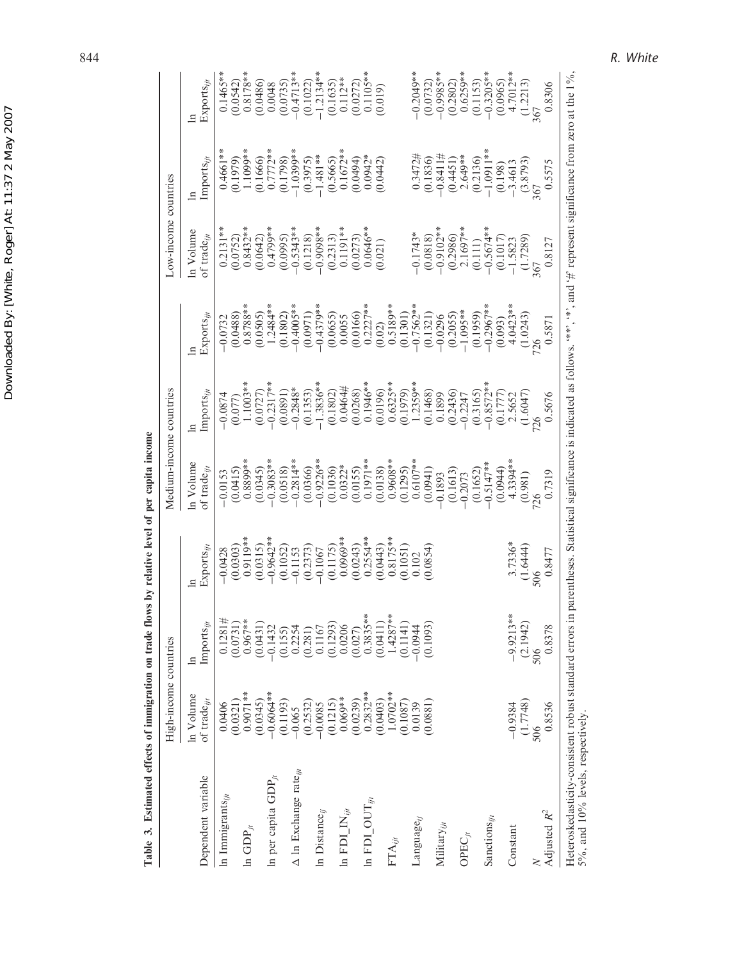| הממ<br>١                       |  |
|--------------------------------|--|
| こうしつ<br>71.7                   |  |
| こくく<br>י<br>$\mathbf$          |  |
| ï                              |  |
| Ĺ<br>$\mathbf{C}$<br>へいつへ<br>I |  |

Table 3. Estimated effects of immigration on trade flows by relative level of per capita income Table 3. Estimated effects of immigration on trade flows by relative level of per capita income

| $0.7772**$<br>$-1.0911**$<br>$0.4661**$<br>1.1099**<br>$-1.0399**$<br>$0.1672**$<br>$-0.8411#$<br>$-1.481**$<br>$2.649**$<br>$0.0942*$<br>0.3472#<br>(0.1798)<br>(0.2136)<br>(0.1979)<br>(0.1666)<br>(0.3975)<br>(0.1836)<br>(0.4451)<br>$Imports_{ii}$<br>(0.5665)<br>(0.0494)<br>(0.0442)<br>$-3.4613$<br>(0.198)<br>$\Xi$<br>$0.4799**$<br>$-0.5343**$<br>$-0.9098**$<br>$0.0646**$<br>$-0.9102**$<br>$2.1697**$<br>$-0.5674**$<br>$0.8432**$<br>$0.1191**$<br>$0.2131**$<br>In Volume<br>$-0.1743*$<br>(0.0995)<br>(0.1218)<br>(0.2313)<br>(0.0818)<br>(0.2986)<br>of trade $_{ijt}$<br>(0.0642)<br>(0.0273)<br>(0.0752)<br>(0.1017)<br>(1.7289)<br>$-1.5823$<br>(0.111)<br>(0.021)<br>$-0.4005**$<br>$-0.4379**$<br>$0.2227**$<br>$-0.7562**$<br>$-0.2967**$<br>$4.0423**$<br>$0.8788**$<br>$1.2484**$<br>$0.5189**$<br>$-1.095**$<br>(0.0971)<br>(0.0166)<br>(0.1959)<br>(0.0505)<br>(0.1802)<br>(0.0655)<br>(0.1301)<br>(0.1321)<br>(0.2055)<br>$\mathrm{Exports}_{i\bar{\eta}}$<br>(0.0488)<br>(1.0243)<br>0.0055<br>$-0.0296$<br>$-0.0732$<br>(0.093)<br>(0.02)<br>$\Xi$<br>$-0.2317**$<br>$0.1946**$<br>$1.2359**$<br>$1.1003**$<br>$-1.3836**$<br>$0.6325**$<br>$-0.8572**$<br>0.0464#<br>$-0.2848*$<br>(0.1979)<br>(0.1802)<br>(0.1353)<br>(0.0268)<br>(0.0196)<br>(0.1468)<br>$Imports_{ii}$<br>(0.0727)<br>(0.0891)<br>(0.2436)<br>(0.3165)<br>(1.6047)<br>(0.1777)<br>0.1899<br>$-0.2247$<br>$-0.0874$<br>2.5652<br>(0.077)<br>$\equiv$<br>$0.1971**$<br>$0.8899**$<br>$-0.3083**$<br>$-0.2814**$<br>$-0.9226**$<br>$0.9608**$<br>$0.6107**$<br>$4.3394**$<br>In Volume<br>$-0.5147**$<br>$0.0322*$<br>(0.0366)<br>(0.0138)<br>(0.0518)<br>(0.1036)<br>(0.0155)<br>(0.0345)<br>(0.1295)<br>of trade $_{ijt}$<br>(0.0415)<br>(0.1613)<br>(0.1652)<br>(0.0944)<br>(0.0941)<br>$-0.0153$<br>$-0.1893$<br>$-0.2073$<br>(0.981)<br>0.9119**<br>$-0.9642**$<br>$0.0969**$<br>$0.2554**$<br>$0.8175**$<br>3.7336*<br>(0.0243)<br>(0.0315)<br>(0.1175)<br>(0.0443)<br>(0.2373)<br>(0.1051)<br>(1.6444)<br>(0.0303)<br>(0.1052)<br>(6.0854)<br>$Exports_{ij}$<br>$-0.1153$<br>$-0.1067$<br>$-0.0428$<br>0.102<br>$\Xi$<br>$-9.9213**$<br>$1.4287**$<br>$0.3835***$<br>0.1281#<br>$0.967**$<br>$Imports_{ijt}$<br>(0.0731)<br>(0.0411)<br>(2.1942)<br>(0.0431)<br>(0.1293)<br>(0.1093)<br>(0.1141)<br>$-0.1432$<br>0.2254<br>0.0206<br>$-0.0944$<br>0.1167<br>(0.155)<br>(0.281)<br>(0.027)<br>$\Xi$<br>$0.9071**$<br>$-0.6064**$<br>$0.2832**$<br>$1.0702**$<br>In Volume<br>$0.069**$<br>of trade $_{ijt}$<br>(0.0321)<br>(0.0403)<br>(0.0345)<br>(0.0239)<br>(1.7748)<br>(0.1193)<br>(0.1215)<br>(0.0881)<br>(0.1087)<br>(0.2532)<br>0.0406<br>0.0139<br>$-0.9384$<br>$-0.0085$<br>$-0.065$<br>$\Delta$ In Exchange rate <sub>ijt</sub><br>In per capita $GDP_{it}$<br>Dependent variable<br>In Immigrants $_{ijt}$<br>In FDI_OUT $_{\it{ijt}}$<br>In FDI $\text{IN}_{\mathit{ih}}$<br>In Distance <sub>ij</sub><br>Sanctions <sub>ijt</sub><br>$\mathrm{Language}_{ij}$<br>$\text{Military}_{\mathit{ijt}}$<br>Constant<br>In ${\rm GDP}_\mu$<br>$OPEC_{it}$<br>$\text{FTA}_{\mathit{yi}}$ | High-income countries |     |     | Medium-income countries |  | Low-income countries |                   |                          |
|-----------------------------------------------------------------------------------------------------------------------------------------------------------------------------------------------------------------------------------------------------------------------------------------------------------------------------------------------------------------------------------------------------------------------------------------------------------------------------------------------------------------------------------------------------------------------------------------------------------------------------------------------------------------------------------------------------------------------------------------------------------------------------------------------------------------------------------------------------------------------------------------------------------------------------------------------------------------------------------------------------------------------------------------------------------------------------------------------------------------------------------------------------------------------------------------------------------------------------------------------------------------------------------------------------------------------------------------------------------------------------------------------------------------------------------------------------------------------------------------------------------------------------------------------------------------------------------------------------------------------------------------------------------------------------------------------------------------------------------------------------------------------------------------------------------------------------------------------------------------------------------------------------------------------------------------------------------------------------------------------------------------------------------------------------------------------------------------------------------------------------------------------------------------------------------------------------------------------------------------------------------------------------------------------------------------------------------------------------------------------------------------------------------------------------------------------------------------------------------------------------------------------------------------------------------------------------------------------------------------------------------------------------------------------------------------------------------------------------------------------------------------------------------------------------------------------------------------------------------------------------------------------------------------------------------------------------------------------------------------------------------------------------------------------------------------------------------------------------|-----------------------|-----|-----|-------------------------|--|----------------------|-------------------|--------------------------|
|                                                                                                                                                                                                                                                                                                                                                                                                                                                                                                                                                                                                                                                                                                                                                                                                                                                                                                                                                                                                                                                                                                                                                                                                                                                                                                                                                                                                                                                                                                                                                                                                                                                                                                                                                                                                                                                                                                                                                                                                                                                                                                                                                                                                                                                                                                                                                                                                                                                                                                                                                                                                                                                                                                                                                                                                                                                                                                                                                                                                                                                                                                     |                       |     |     |                         |  |                      |                   | $Exports_{iji}$<br>$\Xi$ |
|                                                                                                                                                                                                                                                                                                                                                                                                                                                                                                                                                                                                                                                                                                                                                                                                                                                                                                                                                                                                                                                                                                                                                                                                                                                                                                                                                                                                                                                                                                                                                                                                                                                                                                                                                                                                                                                                                                                                                                                                                                                                                                                                                                                                                                                                                                                                                                                                                                                                                                                                                                                                                                                                                                                                                                                                                                                                                                                                                                                                                                                                                                     |                       |     |     |                         |  |                      |                   | $0.1465***$              |
|                                                                                                                                                                                                                                                                                                                                                                                                                                                                                                                                                                                                                                                                                                                                                                                                                                                                                                                                                                                                                                                                                                                                                                                                                                                                                                                                                                                                                                                                                                                                                                                                                                                                                                                                                                                                                                                                                                                                                                                                                                                                                                                                                                                                                                                                                                                                                                                                                                                                                                                                                                                                                                                                                                                                                                                                                                                                                                                                                                                                                                                                                                     |                       |     |     |                         |  |                      |                   | $0.8178**$<br>(0.0542)   |
|                                                                                                                                                                                                                                                                                                                                                                                                                                                                                                                                                                                                                                                                                                                                                                                                                                                                                                                                                                                                                                                                                                                                                                                                                                                                                                                                                                                                                                                                                                                                                                                                                                                                                                                                                                                                                                                                                                                                                                                                                                                                                                                                                                                                                                                                                                                                                                                                                                                                                                                                                                                                                                                                                                                                                                                                                                                                                                                                                                                                                                                                                                     |                       |     |     |                         |  |                      |                   | (0.0486)<br>0.0048       |
|                                                                                                                                                                                                                                                                                                                                                                                                                                                                                                                                                                                                                                                                                                                                                                                                                                                                                                                                                                                                                                                                                                                                                                                                                                                                                                                                                                                                                                                                                                                                                                                                                                                                                                                                                                                                                                                                                                                                                                                                                                                                                                                                                                                                                                                                                                                                                                                                                                                                                                                                                                                                                                                                                                                                                                                                                                                                                                                                                                                                                                                                                                     |                       |     |     |                         |  |                      |                   | $-0.4713**$<br>(0.0735)  |
|                                                                                                                                                                                                                                                                                                                                                                                                                                                                                                                                                                                                                                                                                                                                                                                                                                                                                                                                                                                                                                                                                                                                                                                                                                                                                                                                                                                                                                                                                                                                                                                                                                                                                                                                                                                                                                                                                                                                                                                                                                                                                                                                                                                                                                                                                                                                                                                                                                                                                                                                                                                                                                                                                                                                                                                                                                                                                                                                                                                                                                                                                                     |                       |     |     |                         |  |                      |                   | (0.1022)                 |
|                                                                                                                                                                                                                                                                                                                                                                                                                                                                                                                                                                                                                                                                                                                                                                                                                                                                                                                                                                                                                                                                                                                                                                                                                                                                                                                                                                                                                                                                                                                                                                                                                                                                                                                                                                                                                                                                                                                                                                                                                                                                                                                                                                                                                                                                                                                                                                                                                                                                                                                                                                                                                                                                                                                                                                                                                                                                                                                                                                                                                                                                                                     |                       |     |     |                         |  |                      |                   | $-1.2134**$<br>(0.1635)  |
|                                                                                                                                                                                                                                                                                                                                                                                                                                                                                                                                                                                                                                                                                                                                                                                                                                                                                                                                                                                                                                                                                                                                                                                                                                                                                                                                                                                                                                                                                                                                                                                                                                                                                                                                                                                                                                                                                                                                                                                                                                                                                                                                                                                                                                                                                                                                                                                                                                                                                                                                                                                                                                                                                                                                                                                                                                                                                                                                                                                                                                                                                                     |                       |     |     |                         |  |                      |                   | $0.112**$                |
|                                                                                                                                                                                                                                                                                                                                                                                                                                                                                                                                                                                                                                                                                                                                                                                                                                                                                                                                                                                                                                                                                                                                                                                                                                                                                                                                                                                                                                                                                                                                                                                                                                                                                                                                                                                                                                                                                                                                                                                                                                                                                                                                                                                                                                                                                                                                                                                                                                                                                                                                                                                                                                                                                                                                                                                                                                                                                                                                                                                                                                                                                                     |                       |     |     |                         |  |                      |                   | $0.1105**$<br>(0.0272)   |
|                                                                                                                                                                                                                                                                                                                                                                                                                                                                                                                                                                                                                                                                                                                                                                                                                                                                                                                                                                                                                                                                                                                                                                                                                                                                                                                                                                                                                                                                                                                                                                                                                                                                                                                                                                                                                                                                                                                                                                                                                                                                                                                                                                                                                                                                                                                                                                                                                                                                                                                                                                                                                                                                                                                                                                                                                                                                                                                                                                                                                                                                                                     |                       |     |     |                         |  |                      |                   | (0.019)                  |
|                                                                                                                                                                                                                                                                                                                                                                                                                                                                                                                                                                                                                                                                                                                                                                                                                                                                                                                                                                                                                                                                                                                                                                                                                                                                                                                                                                                                                                                                                                                                                                                                                                                                                                                                                                                                                                                                                                                                                                                                                                                                                                                                                                                                                                                                                                                                                                                                                                                                                                                                                                                                                                                                                                                                                                                                                                                                                                                                                                                                                                                                                                     |                       |     |     |                         |  |                      |                   |                          |
|                                                                                                                                                                                                                                                                                                                                                                                                                                                                                                                                                                                                                                                                                                                                                                                                                                                                                                                                                                                                                                                                                                                                                                                                                                                                                                                                                                                                                                                                                                                                                                                                                                                                                                                                                                                                                                                                                                                                                                                                                                                                                                                                                                                                                                                                                                                                                                                                                                                                                                                                                                                                                                                                                                                                                                                                                                                                                                                                                                                                                                                                                                     |                       |     |     |                         |  |                      |                   | $-0.2049**$              |
|                                                                                                                                                                                                                                                                                                                                                                                                                                                                                                                                                                                                                                                                                                                                                                                                                                                                                                                                                                                                                                                                                                                                                                                                                                                                                                                                                                                                                                                                                                                                                                                                                                                                                                                                                                                                                                                                                                                                                                                                                                                                                                                                                                                                                                                                                                                                                                                                                                                                                                                                                                                                                                                                                                                                                                                                                                                                                                                                                                                                                                                                                                     |                       |     |     |                         |  |                      |                   | (0.0732)                 |
|                                                                                                                                                                                                                                                                                                                                                                                                                                                                                                                                                                                                                                                                                                                                                                                                                                                                                                                                                                                                                                                                                                                                                                                                                                                                                                                                                                                                                                                                                                                                                                                                                                                                                                                                                                                                                                                                                                                                                                                                                                                                                                                                                                                                                                                                                                                                                                                                                                                                                                                                                                                                                                                                                                                                                                                                                                                                                                                                                                                                                                                                                                     |                       |     |     |                         |  |                      |                   | $-0.9985**$              |
|                                                                                                                                                                                                                                                                                                                                                                                                                                                                                                                                                                                                                                                                                                                                                                                                                                                                                                                                                                                                                                                                                                                                                                                                                                                                                                                                                                                                                                                                                                                                                                                                                                                                                                                                                                                                                                                                                                                                                                                                                                                                                                                                                                                                                                                                                                                                                                                                                                                                                                                                                                                                                                                                                                                                                                                                                                                                                                                                                                                                                                                                                                     |                       |     |     |                         |  |                      |                   | $0.6259**$<br>(0.2802)   |
|                                                                                                                                                                                                                                                                                                                                                                                                                                                                                                                                                                                                                                                                                                                                                                                                                                                                                                                                                                                                                                                                                                                                                                                                                                                                                                                                                                                                                                                                                                                                                                                                                                                                                                                                                                                                                                                                                                                                                                                                                                                                                                                                                                                                                                                                                                                                                                                                                                                                                                                                                                                                                                                                                                                                                                                                                                                                                                                                                                                                                                                                                                     |                       |     |     |                         |  |                      |                   | $-0.3205**$<br>(0.1153)  |
|                                                                                                                                                                                                                                                                                                                                                                                                                                                                                                                                                                                                                                                                                                                                                                                                                                                                                                                                                                                                                                                                                                                                                                                                                                                                                                                                                                                                                                                                                                                                                                                                                                                                                                                                                                                                                                                                                                                                                                                                                                                                                                                                                                                                                                                                                                                                                                                                                                                                                                                                                                                                                                                                                                                                                                                                                                                                                                                                                                                                                                                                                                     |                       |     |     |                         |  |                      |                   | (0.0965)                 |
|                                                                                                                                                                                                                                                                                                                                                                                                                                                                                                                                                                                                                                                                                                                                                                                                                                                                                                                                                                                                                                                                                                                                                                                                                                                                                                                                                                                                                                                                                                                                                                                                                                                                                                                                                                                                                                                                                                                                                                                                                                                                                                                                                                                                                                                                                                                                                                                                                                                                                                                                                                                                                                                                                                                                                                                                                                                                                                                                                                                                                                                                                                     |                       |     |     |                         |  |                      |                   | $4.7012**$               |
| 2                                                                                                                                                                                                                                                                                                                                                                                                                                                                                                                                                                                                                                                                                                                                                                                                                                                                                                                                                                                                                                                                                                                                                                                                                                                                                                                                                                                                                                                                                                                                                                                                                                                                                                                                                                                                                                                                                                                                                                                                                                                                                                                                                                                                                                                                                                                                                                                                                                                                                                                                                                                                                                                                                                                                                                                                                                                                                                                                                                                                                                                                                                   | 506                   | 506 | 506 |                         |  |                      | $(3.8793)$<br>367 | (1.2213)                 |
| 0.5575<br>0.8127<br>0.5871<br>0.5676<br>0.7319<br>0.8477<br>0.8378<br>0.8536<br>Adjusted $R^2$                                                                                                                                                                                                                                                                                                                                                                                                                                                                                                                                                                                                                                                                                                                                                                                                                                                                                                                                                                                                                                                                                                                                                                                                                                                                                                                                                                                                                                                                                                                                                                                                                                                                                                                                                                                                                                                                                                                                                                                                                                                                                                                                                                                                                                                                                                                                                                                                                                                                                                                                                                                                                                                                                                                                                                                                                                                                                                                                                                                                      |                       |     |     |                         |  |                      |                   | 0.8306                   |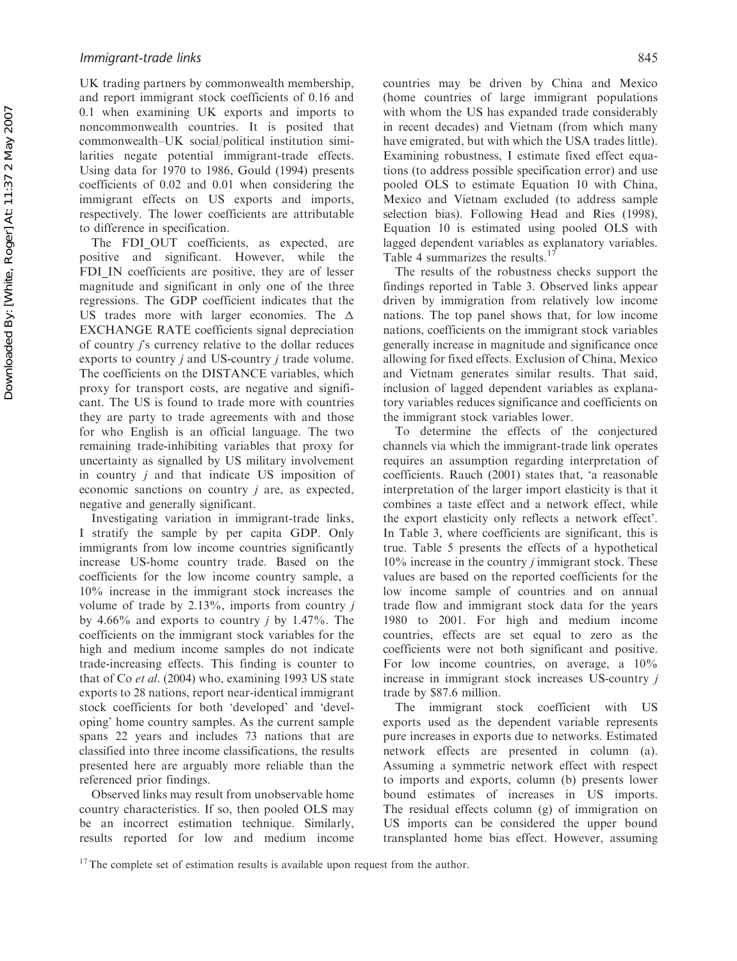UK trading partners by commonwealth membership, and report immigrant stock coefficients of 0.16 and 0.1 when examining UK exports and imports to noncommonwealth countries. It is posited that commonwealth–UK social/political institution similarities negate potential immigrant-trade effects. Using data for 1970 to 1986, Gould (1994) presents coefficients of 0.02 and 0.01 when considering the immigrant effects on US exports and imports, respectively. The lower coefficients are attributable to difference in specification.

The FDI OUT coefficients, as expected, are positive and significant. However, while the FDI\_IN coefficients are positive, they are of lesser magnitude and significant in only one of the three regressions. The GDP coefficient indicates that the US trades more with larger economies. The  $\Delta$ EXCHANGE RATE coefficients signal depreciation of country j's currency relative to the dollar reduces exports to country  $j$  and US-country  $j$  trade volume. The coefficients on the DISTANCE variables, which proxy for transport costs, are negative and significant. The US is found to trade more with countries they are party to trade agreements with and those for who English is an official language. The two remaining trade-inhibiting variables that proxy for uncertainty as signalled by US military involvement in country  $j$  and that indicate US imposition of economic sanctions on country j are, as expected, negative and generally significant.

Investigating variation in immigrant-trade links, I stratify the sample by per capita GDP. Only immigrants from low income countries significantly increase US-home country trade. Based on the coefficients for the low income country sample, a 10% increase in the immigrant stock increases the volume of trade by  $2.13\%$ , imports from country j by 4.66% and exports to country  $i$  by 1.47%. The coefficients on the immigrant stock variables for the high and medium income samples do not indicate trade-increasing effects. This finding is counter to that of Co et al. (2004) who, examining 1993 US state exports to 28 nations, report near-identical immigrant stock coefficients for both 'developed' and 'developing' home country samples. As the current sample spans 22 years and includes 73 nations that are classified into three income classifications, the results presented here are arguably more reliable than the referenced prior findings.

Observed links may result from unobservable home country characteristics. If so, then pooled OLS may be an incorrect estimation technique. Similarly, results reported for low and medium income

countries may be driven by China and Mexico (home countries of large immigrant populations with whom the US has expanded trade considerably in recent decades) and Vietnam (from which many have emigrated, but with which the USA trades little). Examining robustness, I estimate fixed effect equations (to address possible specification error) and use pooled OLS to estimate Equation 10 with China, Mexico and Vietnam excluded (to address sample selection bias). Following Head and Ries (1998), Equation 10 is estimated using pooled OLS with lagged dependent variables as explanatory variables. Table 4 summarizes the results.<sup>17</sup>

The results of the robustness checks support the findings reported in Table 3. Observed links appear driven by immigration from relatively low income nations. The top panel shows that, for low income nations, coefficients on the immigrant stock variables generally increase in magnitude and significance once allowing for fixed effects. Exclusion of China, Mexico and Vietnam generates similar results. That said, inclusion of lagged dependent variables as explanatory variables reduces significance and coefficients on the immigrant stock variables lower.

To determine the effects of the conjectured channels via which the immigrant-trade link operates requires an assumption regarding interpretation of coefficients. Rauch (2001) states that, 'a reasonable interpretation of the larger import elasticity is that it combines a taste effect and a network effect, while the export elasticity only reflects a network effect'. In Table 3, where coefficients are significant, this is true. Table 5 presents the effects of a hypothetical 10% increase in the country j immigrant stock. These values are based on the reported coefficients for the low income sample of countries and on annual trade flow and immigrant stock data for the years 1980 to 2001. For high and medium income countries, effects are set equal to zero as the coefficients were not both significant and positive. For low income countries, on average, a 10% increase in immigrant stock increases US-country j trade by \$87.6 million.

The immigrant stock coefficient with US exports used as the dependent variable represents pure increases in exports due to networks. Estimated network effects are presented in column (a). Assuming a symmetric network effect with respect to imports and exports, column (b) presents lower bound estimates of increases in US imports. The residual effects column (g) of immigration on US imports can be considered the upper bound transplanted home bias effect. However, assuming

 $17$ The complete set of estimation results is available upon request from the author.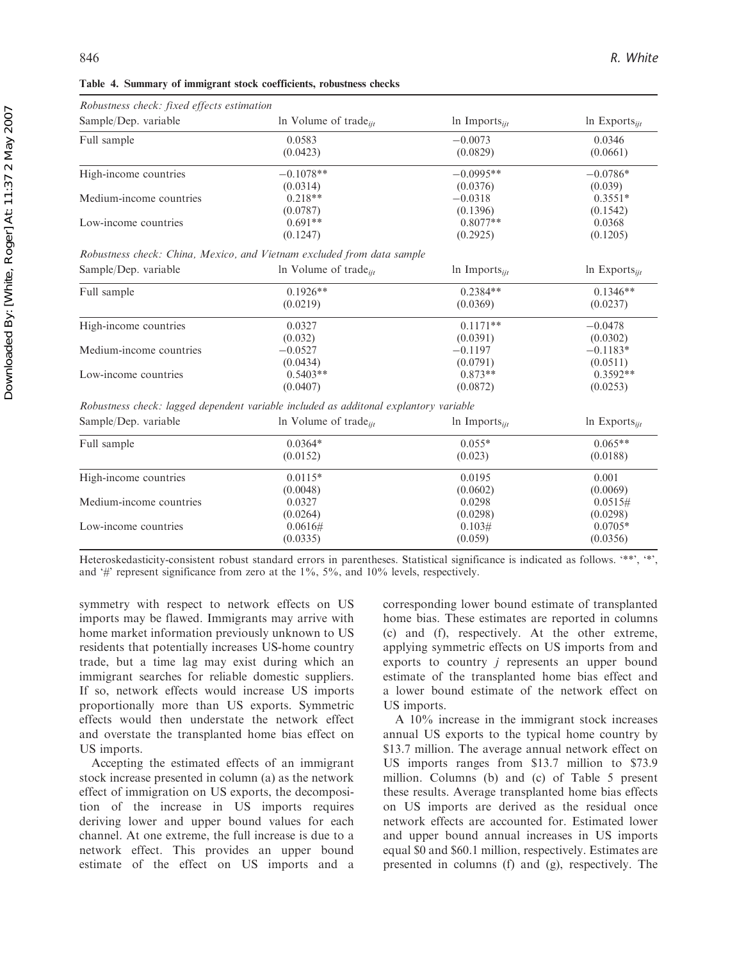| Robustness check: fixed effects estimation |                                                                                       |                     |                              |
|--------------------------------------------|---------------------------------------------------------------------------------------|---------------------|------------------------------|
| Sample/Dep. variable                       | In Volume of trade <sub>iit</sub>                                                     | In Imports $_{ijt}$ | $\ln$ Exports <sub>iit</sub> |
| Full sample                                | 0.0583                                                                                | $-0.0073$           | 0.0346                       |
|                                            | (0.0423)                                                                              | (0.0829)            | (0.0661)                     |
| High-income countries                      | $-0.1078**$                                                                           | $-0.0995**$         | $-0.0786*$                   |
|                                            | (0.0314)                                                                              | (0.0376)            | (0.039)                      |
| Medium-income countries                    | $0.218**$                                                                             | $-0.0318$           | $0.3551*$                    |
|                                            | (0.0787)                                                                              | (0.1396)            | (0.1542)                     |
| Low-income countries                       | $0.691**$                                                                             | $0.8077**$          | 0.0368                       |
|                                            | (0.1247)                                                                              | (0.2925)            | (0.1205)                     |
|                                            | Robustness check: China, Mexico, and Vietnam excluded from data sample                |                     |                              |
| Sample/Dep. variable                       | In Volume of trade $_{ijt}$                                                           | In Imports $_{ijt}$ | $\ln$ Exports <sub>iit</sub> |
| Full sample                                | $0.1926**$                                                                            | $0.2384**$          | $0.1346**$                   |
|                                            | (0.0219)                                                                              | (0.0369)            | (0.0237)                     |
| High-income countries                      | 0.0327                                                                                | $0.1171**$          | $-0.0478$                    |
|                                            | (0.032)                                                                               | (0.0391)            | (0.0302)                     |
| Medium-income countries                    | $-0.0527$                                                                             | $-0.1197$           | $-0.1183*$                   |
|                                            | (0.0434)                                                                              | (0.0791)            | (0.0511)                     |
| Low-income countries                       | $0.5403**$                                                                            | $0.873**$           | $0.3592**$                   |
|                                            | (0.0407)                                                                              | (0.0872)            | (0.0253)                     |
|                                            | Robustness check: lagged dependent variable included as additonal explantory variable |                     |                              |
| Sample/Dep. variable                       | In Volume of trade $_{ijt}$                                                           | In Imports $_{ijt}$ | $ln$ Exports <sub>iit</sub>  |
| Full sample                                | $0.0364*$                                                                             | $0.055*$            | $0.065**$                    |
|                                            | (0.0152)                                                                              | (0.023)             | (0.0188)                     |
| High-income countries                      | $0.0115*$                                                                             | 0.0195              | 0.001                        |
|                                            | (0.0048)                                                                              | (0.0602)            | (0.0069)                     |
| Medium-income countries                    | 0.0327                                                                                | 0.0298              | 0.0515#                      |

|  |  |  |  |  |  | Table 4. Summary of immigrant stock coefficients, robustness checks |  |  |
|--|--|--|--|--|--|---------------------------------------------------------------------|--|--|
|--|--|--|--|--|--|---------------------------------------------------------------------|--|--|

Heteroskedasticity-consistent robust standard errors in parentheses. Statistical significance is indicated as follows. '\*\*', '\*', and '#' represent significance from zero at the  $1\%$ ,  $5\%$ , and  $10\%$  levels, respectively.

symmetry with respect to network effects on US imports may be flawed. Immigrants may arrive with home market information previously unknown to US residents that potentially increases US-home country trade, but a time lag may exist during which an immigrant searches for reliable domestic suppliers. If so, network effects would increase US imports proportionally more than US exports. Symmetric effects would then understate the network effect and overstate the transplanted home bias effect on US imports.

Low-income countries  $0.0616#$ 

Accepting the estimated effects of an immigrant stock increase presented in column (a) as the network effect of immigration on US exports, the decomposition of the increase in US imports requires deriving lower and upper bound values for each channel. At one extreme, the full increase is due to a network effect. This provides an upper bound estimate of the effect on US imports and a

corresponding lower bound estimate of transplanted home bias. These estimates are reported in columns (c) and (f), respectively. At the other extreme, applying symmetric effects on US imports from and exports to country j represents an upper bound estimate of the transplanted home bias effect and a lower bound estimate of the network effect on US imports.

 $(0.0264)$   $(0.0298)$   $(0.0298)$   $(0.0298)$   $(0.0298)$   $(0.0298)$ 

 $(0.0335)$   $(0.059)$   $(0.0356)$ 

A 10% increase in the immigrant stock increases annual US exports to the typical home country by \$13.7 million. The average annual network effect on US imports ranges from \$13.7 million to \$73.9 million. Columns (b) and (c) of Table 5 present these results. Average transplanted home bias effects on US imports are derived as the residual once network effects are accounted for. Estimated lower and upper bound annual increases in US imports equal \$0 and \$60.1 million, respectively. Estimates are presented in columns (f) and (g), respectively. The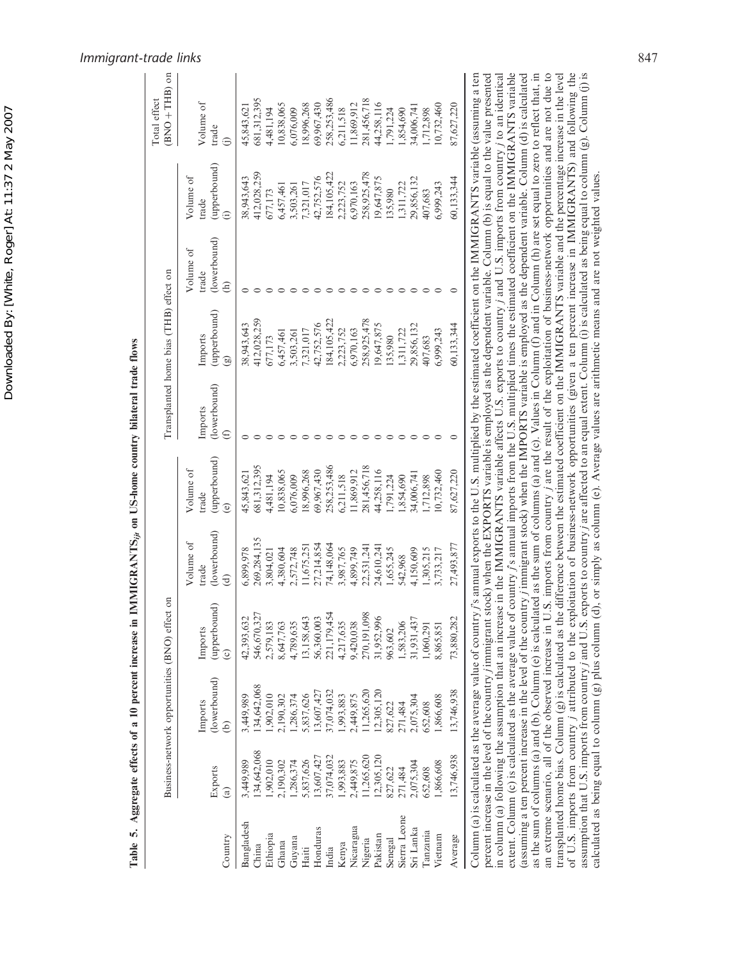Table 5. Aggregate effects of a 10 percent increase in IMMIGRANTS<sub>it</sub> on US-home country bilateral trade flows Table 5. Aggregate effects of a 10 percent increase in IMMIGRANTSijt on US-home country bilateral trade flows

|                                                                                                        |                                                                                                                                  | Business-network opportunities (BNO) effect                                                                                        | $\sin$                                                                                                                                             |                                                                                                                                     |                                                                                                                                          |                                                                              | Transplanted home bias (THB) effect on                                                                                               |                                                     |                                                                                                                                    | $(BNO + THB)$ on<br>Total effect                                                                                                                                                                                                                                                                                                                                                                                                                                                                                                                                                                                                                                                                                                                                                                                                                                                                                                                                                                                                                                                                                                                                                                                                                                                                                                                                                                                                                                                                                                                                                                                                                                                                                                    |
|--------------------------------------------------------------------------------------------------------|----------------------------------------------------------------------------------------------------------------------------------|------------------------------------------------------------------------------------------------------------------------------------|----------------------------------------------------------------------------------------------------------------------------------------------------|-------------------------------------------------------------------------------------------------------------------------------------|------------------------------------------------------------------------------------------------------------------------------------------|------------------------------------------------------------------------------|--------------------------------------------------------------------------------------------------------------------------------------|-----------------------------------------------------|------------------------------------------------------------------------------------------------------------------------------------|-------------------------------------------------------------------------------------------------------------------------------------------------------------------------------------------------------------------------------------------------------------------------------------------------------------------------------------------------------------------------------------------------------------------------------------------------------------------------------------------------------------------------------------------------------------------------------------------------------------------------------------------------------------------------------------------------------------------------------------------------------------------------------------------------------------------------------------------------------------------------------------------------------------------------------------------------------------------------------------------------------------------------------------------------------------------------------------------------------------------------------------------------------------------------------------------------------------------------------------------------------------------------------------------------------------------------------------------------------------------------------------------------------------------------------------------------------------------------------------------------------------------------------------------------------------------------------------------------------------------------------------------------------------------------------------------------------------------------------------|
| Country                                                                                                | Exports<br>$\widehat{a}$                                                                                                         | (lowerbound)<br><b>Imports</b><br>$\widehat{e}$                                                                                    | (upperbound)<br>Imports<br>$\odot$                                                                                                                 | (lowerbound)<br>Volume of<br>trade<br>$\widehat{\mathbf{d}}$                                                                        | (upperbound)<br>Volume of<br>trade<br>$\odot$                                                                                            | (lowerbound)<br>imports<br>$\in$                                             | (upperbound)<br>mports<br>$\left( \frac{g}{g} \right)$                                                                               | (lowerbound)<br>Volume of<br>trade<br>$\widehat{E}$ | (upperbound)<br>Volume of<br>trade<br>$\oplus$                                                                                     | Volume of<br>trade<br>$\oplus$                                                                                                                                                                                                                                                                                                                                                                                                                                                                                                                                                                                                                                                                                                                                                                                                                                                                                                                                                                                                                                                                                                                                                                                                                                                                                                                                                                                                                                                                                                                                                                                                                                                                                                      |
| Bangladesh<br>Nicaragua<br>Honduras<br>Ethiopia<br>Guyana<br>Ghana<br>Kenya<br>China<br>India<br>Haiti | 34,642,068<br>13,607,427<br>37,074,032<br>1,993,883<br>2,449,875<br>1,286,374<br>5,837,626<br>3,449,989<br>,902,010<br>2,190,302 | 134,642,068<br>13,607,427<br>37,074,032<br>5,837,626<br>2,449,875<br>3,449,989<br>1,902,010<br>1,286,374<br>1,993,883<br>2,190,302 | 546,670,327<br>221,179,454<br>42,393,632<br>13,158,643<br>56,360,003<br>4,789,635<br>4,217,635<br>9,420,038<br>8,647,763<br>2,579,183              | 269,284,135<br>74,148,064<br>27,214,854<br>11,675,251<br>3,987,765<br>4,899,749<br>2,572,748<br>6,899,978<br>4,380,604<br>3,804,021 | 258,253,486<br>681, 312, 395<br>69,967,430<br>11,869,912<br>10,838,065<br>8,996,268<br>45,843,621<br>6,211,518<br>4,481,194<br>5,076,009 | $\circ$<br>$\circ$<br>$\circ$<br>$\circ$<br>$\circ$<br>⊂<br>⊂<br>⊂<br>⊂<br>⊂ | 184, 105, 422<br>412,028,259<br>42,752,576<br>38,943,643<br>2,223,752<br>6,970,163<br>7,321,017<br>6,457,461<br>3,503,261<br>677,173 | $\circ$                                             | 184,105,422<br>412,028,259<br>42,752,576<br>88,943,643<br>6,970,163<br>2,223,752<br>7,321,017<br>6,457,461<br>3,503,261<br>677,173 | 681,312,395<br>258,253,486<br>69,967,430<br>11,869,912<br>18,996,268<br>10,838,065<br>45,843,621<br>6,211,518<br>4,481,194<br>5,076,009                                                                                                                                                                                                                                                                                                                                                                                                                                                                                                                                                                                                                                                                                                                                                                                                                                                                                                                                                                                                                                                                                                                                                                                                                                                                                                                                                                                                                                                                                                                                                                                             |
| Sierra Leone<br>Sri Lanka<br>Tanzania<br>Pakistan<br>Vietnam<br>Average<br>Nigeria<br>Senegal          | 11,265,620<br>13,746,938<br>12,305,120<br>2,075,304<br>,866,608<br>271,484<br>652,608<br>827,622                                 | 11,265,620<br>12,305,120<br>13,746,938<br>2,075,304<br>1,866,608<br>271,484<br>652,608<br>827,622                                  | 270,191,098<br>31,952,996<br>73,880,282<br>31,931,437<br>1,583,206<br>1,060,291<br>8,865,851<br>963,602                                            | 27,493,877<br>22,531,241<br>24,610,241<br>1,655,245<br>4,150,609<br>1,305,215<br>3,733,217<br>542,968                               | 281,456,718<br>44,258,116<br>87,627,220<br>0,732,460<br>34,006,741<br>1,791,224<br>,854,690<br>1,712,898                                 | 0<br>⊂<br>⊂<br>⊂                                                             | 258,925,478<br>19,647,875<br>29,856,132<br>60,133,344<br>1,311,722<br>6,999,243<br>135,980<br>407,683                                |                                                     | 258,925,478<br>19,647,875<br>60,133,344<br>29,856,132<br>1,311,722<br>6,999,243<br>135,980<br>407,683                              | 281,456,718<br>44,258,116<br>87,627,220<br>10,732,460<br>34,006,741<br>1,791,224<br>1,854,690<br>1,712,898                                                                                                                                                                                                                                                                                                                                                                                                                                                                                                                                                                                                                                                                                                                                                                                                                                                                                                                                                                                                                                                                                                                                                                                                                                                                                                                                                                                                                                                                                                                                                                                                                          |
|                                                                                                        |                                                                                                                                  | transplanted home bias. Column (g) is calculated as the                                                                            | calculated as being equal to column (g) plus column (d), or simply as column (e). Average values are arithmetic means and are not weighted values. |                                                                                                                                     |                                                                                                                                          |                                                                              |                                                                                                                                      |                                                     |                                                                                                                                    | of U.S. imports from country j attributed to the exploitation of business-network opportunities (given a ten percent increase in IMMIGRANTS) and following the<br>an extreme scenario, all of the observed increase in U.S. imports from country j are the result of the exploitation of business-network opportunities and are not due to<br>extent. Column (c) is calculated as the average value of country j's annual imports from the U.S. multiplied times the estimated coefficient on the IMMIGRANTS variable<br>assumption that U.S. imports from country j and U.S. exports to country j are affected to an equal extent. Column (i) is calculated as being equal to column (g). Column (j) is<br>(assuming a ten percent increase in the level of the country j immigrant stock) when the IMPORTS variable is employed as the dependent variable. Column (d) is calculated<br>as the sum of columns (a) and (b). Column (e) is calculated as the sum of columns (a) and (c). Values in Column (f) and in Column (h) are set equal to zero to reflect that, in<br>difference between the estimated coefficient on the IMMIGRANTS variable and the percentage increase in the level<br>Column (a) is calculated as the average value of country $j$ s annual exports to the U.S. multiplied by the estimated coefficient on the IMMIGRANTS variable (assuming a ten<br>in column (a) following the assumption that an increase in the IMMIGRANTS variable affects U.S. exports to country j and U.S. imports from country j to an identical<br>percent increase in the level of the country j immigrant stock) when the EXPORTS variable is employed as the dependent variable. Column (b) is equal to the value presented |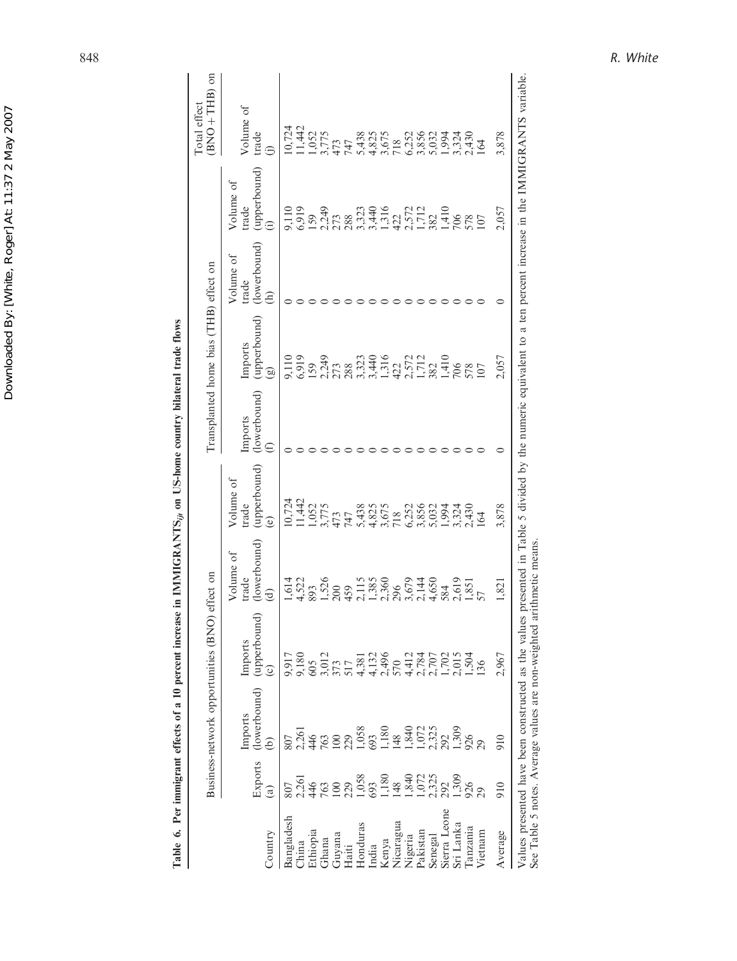| הממ<br>,<br>١<br>¢                                 |  |
|----------------------------------------------------|--|
| マイ・トレート てんてん<br>ı                                  |  |
| 1<br>i<br>C<br>C<br>C<br>י<br>C                    |  |
| ׇ֦֧֚                                               |  |
| $\alpha$<br>nenen<br>$\overline{\phantom{a}}$<br>Ĺ |  |

Table 6. Per immigrant effects of a 10 percent increase in IMMIGRANTS<sub>ijt</sub> on US-home country bilateral trade flows

Table 6. Per immigrant effects of a 10 percent increase in IMMIGRANTS<sub>iji</sub> on US-home country bilateral trade flows

|                                                                                  |                                                                                                                                       | Business-network opportunities (BNO)                                                                          |                                    | effect on                                               |                                                            |                      | Iransplanted home bias (THB) effect on                                                                                                                                                                                                                                               |                                                     |                                                                                       | $\sin$<br>$(BNO + THB)$<br><b>Total</b> effect                                                               |
|----------------------------------------------------------------------------------|---------------------------------------------------------------------------------------------------------------------------------------|---------------------------------------------------------------------------------------------------------------|------------------------------------|---------------------------------------------------------|------------------------------------------------------------|----------------------|--------------------------------------------------------------------------------------------------------------------------------------------------------------------------------------------------------------------------------------------------------------------------------------|-----------------------------------------------------|---------------------------------------------------------------------------------------|--------------------------------------------------------------------------------------------------------------|
| Country                                                                          | Exports<br>$\widehat{a}$                                                                                                              | (lowerbound)<br>inports<br>$\Theta$                                                                           | (upperbound)<br>Imports<br>$\odot$ | (lowerbound<br>Volume of<br>trade<br>$\widehat{\sigma}$ | upperbound<br>Volume of<br>trade<br>$\widehat{\mathbf{e}}$ | Jowerbound<br>mports | upperbound<br>Imports<br>බ                                                                                                                                                                                                                                                           | (lowerbound)<br>Volume of<br>trade<br>$\widehat{H}$ | $\begin{array}{c} \text{(upperbound)}\\ \text{(i)} \end{array}$<br>Volume of<br>trade | /olume of<br>trade                                                                                           |
| Bangladesh<br><b>China</b>                                                       | 807<br>2,264<br>2,344 00 00 3,380<br>3,374 00 00 3,380<br>3,374 00 00 3,44 00 3,574 00 3,575 00 3,576 00 3,576 00 3,576 00 3,576 00 3 | 807<br>2,261<br>2,363 808 808 804<br>445 808 808 808 808 809<br>1,372 808 808 809 806 926                     |                                    |                                                         |                                                            |                      | $7.79$<br>$7.97$<br>$7.77$<br>$7.77$<br>$7.77$<br>$7.77$<br>$7.77$<br>$7.77$<br>$7.77$<br>$7.77$<br>$7.77$<br>$7.77$<br>$7.77$<br>$7.77$<br>$7.77$<br>$7.77$<br>$7.77$<br>$7.77$<br>$7.77$<br>$7.77$<br>$7.77$<br>$7.77$<br>$7.77$<br>$7.77$<br>$7.77$<br>$7.77$<br>$7.77$<br>$7.77$ |                                                     |                                                                                       |                                                                                                              |
| Ethiopia<br>Ghana                                                                |                                                                                                                                       |                                                                                                               |                                    |                                                         |                                                            |                      |                                                                                                                                                                                                                                                                                      |                                                     |                                                                                       |                                                                                                              |
|                                                                                  |                                                                                                                                       |                                                                                                               |                                    |                                                         |                                                            |                      |                                                                                                                                                                                                                                                                                      |                                                     |                                                                                       |                                                                                                              |
| Guyana<br>Haiti                                                                  |                                                                                                                                       |                                                                                                               |                                    |                                                         |                                                            |                      |                                                                                                                                                                                                                                                                                      |                                                     |                                                                                       |                                                                                                              |
| Honduras<br>India                                                                |                                                                                                                                       |                                                                                                               |                                    |                                                         |                                                            |                      |                                                                                                                                                                                                                                                                                      |                                                     |                                                                                       |                                                                                                              |
|                                                                                  |                                                                                                                                       |                                                                                                               |                                    |                                                         |                                                            |                      |                                                                                                                                                                                                                                                                                      |                                                     |                                                                                       |                                                                                                              |
|                                                                                  |                                                                                                                                       |                                                                                                               |                                    |                                                         |                                                            |                      |                                                                                                                                                                                                                                                                                      |                                                     |                                                                                       |                                                                                                              |
|                                                                                  |                                                                                                                                       |                                                                                                               |                                    |                                                         |                                                            |                      |                                                                                                                                                                                                                                                                                      |                                                     |                                                                                       |                                                                                                              |
| Kenya<br>Nicaragua<br>Nigeria<br>Pakistan<br>Pakistan<br>Senegal<br>Sierra Leone |                                                                                                                                       |                                                                                                               |                                    |                                                         |                                                            |                      |                                                                                                                                                                                                                                                                                      |                                                     |                                                                                       |                                                                                                              |
|                                                                                  |                                                                                                                                       |                                                                                                               |                                    |                                                         |                                                            |                      |                                                                                                                                                                                                                                                                                      |                                                     |                                                                                       |                                                                                                              |
|                                                                                  |                                                                                                                                       |                                                                                                               |                                    |                                                         |                                                            |                      |                                                                                                                                                                                                                                                                                      |                                                     |                                                                                       |                                                                                                              |
|                                                                                  |                                                                                                                                       |                                                                                                               |                                    |                                                         |                                                            |                      |                                                                                                                                                                                                                                                                                      |                                                     |                                                                                       |                                                                                                              |
| Sri Lanka                                                                        |                                                                                                                                       |                                                                                                               |                                    |                                                         |                                                            |                      |                                                                                                                                                                                                                                                                                      |                                                     |                                                                                       |                                                                                                              |
| <b>Canzania</b>                                                                  |                                                                                                                                       |                                                                                                               |                                    |                                                         |                                                            |                      |                                                                                                                                                                                                                                                                                      |                                                     |                                                                                       |                                                                                                              |
| Vietnam                                                                          |                                                                                                                                       | $\overline{29}$                                                                                               |                                    |                                                         |                                                            |                      |                                                                                                                                                                                                                                                                                      |                                                     |                                                                                       |                                                                                                              |
| Average                                                                          | 910                                                                                                                                   | 910                                                                                                           | 2,967                              | $\overline{82}$                                         | 3,878                                                      |                      | 2,057                                                                                                                                                                                                                                                                                |                                                     | 2,057                                                                                 | 3,878                                                                                                        |
|                                                                                  |                                                                                                                                       | See Table 5 notes. Average values are non-weighted ar<br>Values presented have been constructed as the values |                                    | ithmetic means                                          |                                                            |                      |                                                                                                                                                                                                                                                                                      |                                                     |                                                                                       | presented in Table 5 divided by the numeric equivalent to a ten percent increase in the IMMIGRANTS variable. |

848 R. White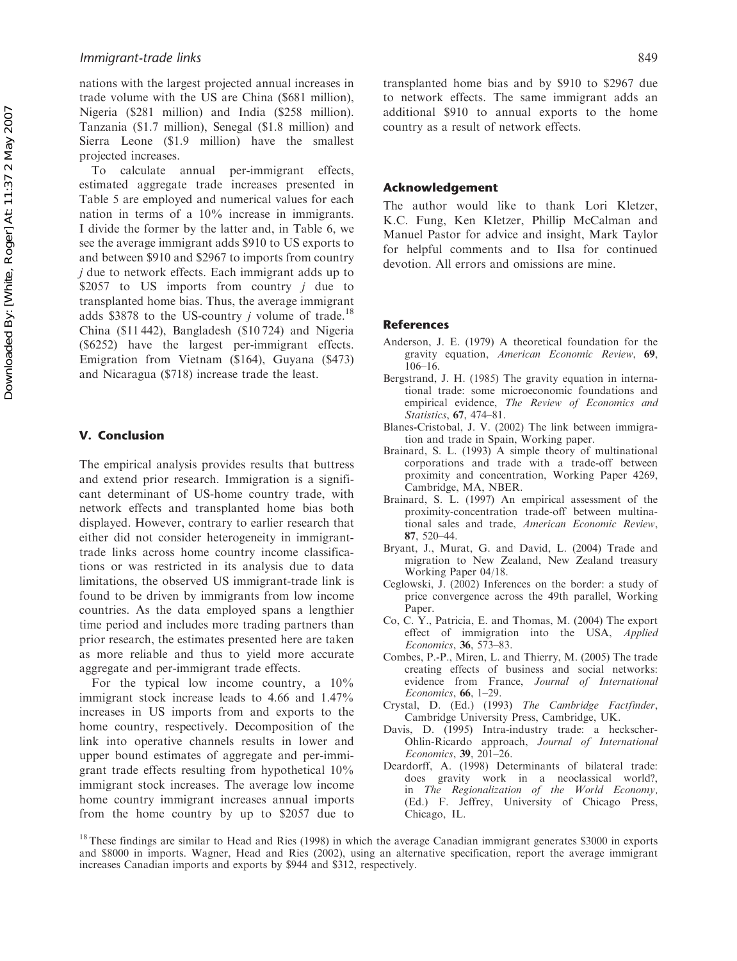nations with the largest projected annual increases in trade volume with the US are China (\$681 million), Nigeria (\$281 million) and India (\$258 million). Tanzania (\$1.7 million), Senegal (\$1.8 million) and Sierra Leone (\$1.9 million) have the smallest projected increases.

To calculate annual per-immigrant effects, estimated aggregate trade increases presented in Table 5 are employed and numerical values for each nation in terms of a 10% increase in immigrants. I divide the former by the latter and, in Table 6, we see the average immigrant adds \$910 to US exports to and between \$910 and \$2967 to imports from country j due to network effects. Each immigrant adds up to \$2057 to US imports from country  $j$  due to transplanted home bias. Thus, the average immigrant adds \$3878 to the US-country *j* volume of trade.<sup>18</sup> China (\$11 442), Bangladesh (\$10 724) and Nigeria (\$6252) have the largest per-immigrant effects. Emigration from Vietnam (\$164), Guyana (\$473) and Nicaragua (\$718) increase trade the least.

#### V. Conclusion

The empirical analysis provides results that buttress and extend prior research. Immigration is a significant determinant of US-home country trade, with network effects and transplanted home bias both displayed. However, contrary to earlier research that either did not consider heterogeneity in immigranttrade links across home country income classifications or was restricted in its analysis due to data limitations, the observed US immigrant-trade link is found to be driven by immigrants from low income countries. As the data employed spans a lengthier time period and includes more trading partners than prior research, the estimates presented here are taken as more reliable and thus to yield more accurate aggregate and per-immigrant trade effects.

For the typical low income country, a  $10\%$ immigrant stock increase leads to 4.66 and 1.47% increases in US imports from and exports to the home country, respectively. Decomposition of the link into operative channels results in lower and upper bound estimates of aggregate and per-immigrant trade effects resulting from hypothetical 10% immigrant stock increases. The average low income home country immigrant increases annual imports from the home country by up to \$2057 due to transplanted home bias and by \$910 to \$2967 due to network effects. The same immigrant adds an additional \$910 to annual exports to the home country as a result of network effects.

#### Acknowledgement

The author would like to thank Lori Kletzer, K.C. Fung, Ken Kletzer, Phillip McCalman and Manuel Pastor for advice and insight, Mark Taylor for helpful comments and to Ilsa for continued devotion. All errors and omissions are mine.

#### References

- Anderson, J. E. (1979) A theoretical foundation for the gravity equation, American Economic Review, 69, 106–16.
- Bergstrand, J. H. (1985) The gravity equation in international trade: some microeconomic foundations and empirical evidence, The Review of Economics and Statistics, 67, 474–81.
- Blanes-Cristobal, J. V. (2002) The link between immigration and trade in Spain, Working paper.
- Brainard, S. L. (1993) A simple theory of multinational corporations and trade with a trade-off between proximity and concentration, Working Paper 4269, Cambridge, MA, NBER.
- Brainard, S. L. (1997) An empirical assessment of the proximity-concentration trade-off between multinational sales and trade, American Economic Review, 87, 520–44.
- Bryant, J., Murat, G. and David, L. (2004) Trade and migration to New Zealand, New Zealand treasury Working Paper 04/18.
- Ceglowski, J. (2002) Inferences on the border: a study of price convergence across the 49th parallel, Working Paper.
- Co, C. Y., Patricia, E. and Thomas, M. (2004) The export effect of immigration into the USA, Applied Economics, 36, 573–83.
- Combes, P.-P., Miren, L. and Thierry, M. (2005) The trade creating effects of business and social networks: evidence from France, Journal of International Economics, 66, 1–29.
- Crystal, D. (Ed.) (1993) The Cambridge Factfinder, Cambridge University Press, Cambridge, UK.
- Davis, D. (1995) Intra-industry trade: a heckscher-Ohlin-Ricardo approach, Journal of International Economics, 39, 201–26.
- Deardorff, A. (1998) Determinants of bilateral trade: does gravity work in a neoclassical world?, in The Regionalization of the World Economy, (Ed.) F. Jeffrey, University of Chicago Press, Chicago, IL.

<sup>&</sup>lt;sup>18</sup> These findings are similar to Head and Ries (1998) in which the average Canadian immigrant generates \$3000 in exports and \$8000 in imports. Wagner, Head and Ries (2002), using an alternative specification, report the average immigrant increases Canadian imports and exports by \$944 and \$312, respectively.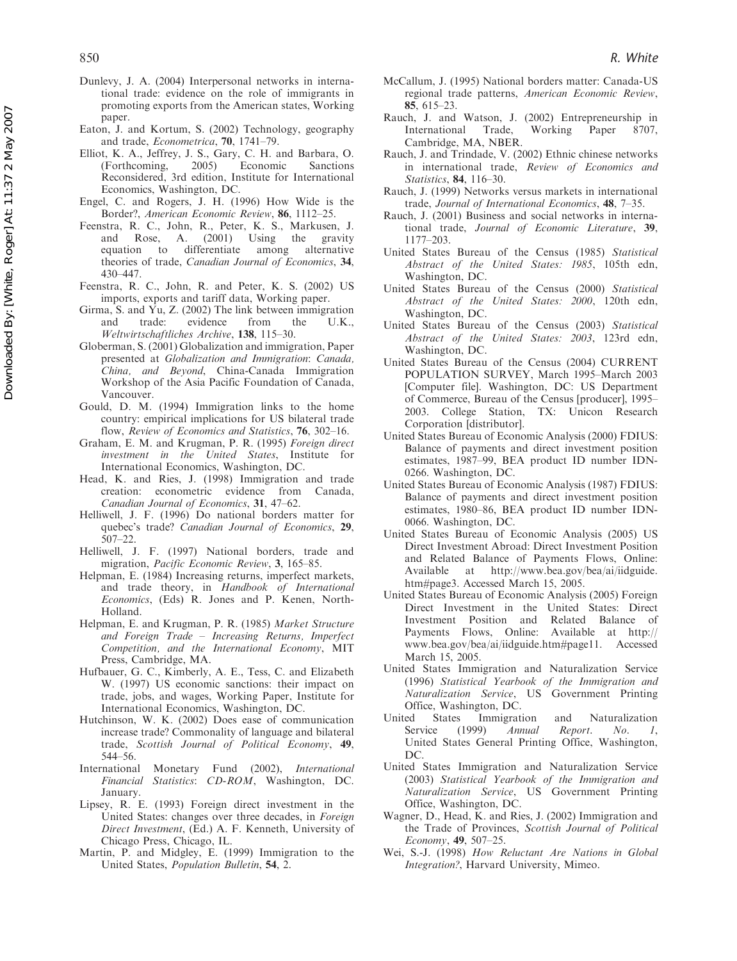- Dunlevy, J. A. (2004) Interpersonal networks in international trade: evidence on the role of immigrants in promoting exports from the American states, Working paper.
- Eaton, J. and Kortum, S. (2002) Technology, geography and trade, Econometrica, 70, 1741–79.
- Elliot, K. A., Jeffrey, J. S., Gary, C. H. and Barbara, O. (Forthcoming, 2005) Economic Sanctions Reconsidered, 3rd edition, Institute for International Economics, Washington, DC.
- Engel, C. and Rogers, J. H. (1996) How Wide is the Border?, American Economic Review, 86, 1112–25.
- Feenstra, R. C., John, R., Peter, K. S., Markusen, J.<br>and Rose, A. (2001) Using the gravity and Rose, A. (2001) Using the gravity equation to differentiate among alternative theories of trade, Canadian Journal of Economics, 34, 430–447.
- Feenstra, R. C., John, R. and Peter, K. S. (2002) US imports, exports and tariff data, Working paper.
- Girma, S. and Yu, Z. (2002) The link between immigration and trade: evidence from the U.K., Weltwirtschaftliches Archive, 138, 115–30.
- Globerman, S. (2001) Globalization and immigration, Paper presented at Globalization and Immigration: Canada, China, and Beyond, China-Canada Immigration Workshop of the Asia Pacific Foundation of Canada, Vancouver.
- Gould, D. M. (1994) Immigration links to the home country: empirical implications for US bilateral trade flow, Review of Economics and Statistics, 76, 302–16.
- Graham, E. M. and Krugman, P. R. (1995) Foreign direct investment in the United States, Institute for International Economics, Washington, DC.
- Head, K. and Ries, J. (1998) Immigration and trade creation: econometric evidence from Canada, Canadian Journal of Economics, 31, 47–62.
- Helliwell, J. F. (1996) Do national borders matter for quebec's trade? *Canadian Journal of Economics*, 29, 507–22.
- Helliwell, J. F. (1997) National borders, trade and migration, Pacific Economic Review, 3, 165–85.
- Helpman, E. (1984) Increasing returns, imperfect markets, and trade theory, in Handbook of International Economics, (Eds) R. Jones and P. Kenen, North-Holland.
- Helpman, E. and Krugman, P. R. (1985) Market Structure and Foreign Trade – Increasing Returns, Imperfect Competition, and the International Economy, MIT Press, Cambridge, MA.
- Hufbauer, G. C., Kimberly, A. E., Tess, C. and Elizabeth W. (1997) US economic sanctions: their impact on trade, jobs, and wages, Working Paper, Institute for International Economics, Washington, DC.
- Hutchinson, W. K. (2002) Does ease of communication increase trade? Commonality of language and bilateral trade, Scottish Journal of Political Economy, 49, 544–56.
- International Monetary Fund (2002), International Financial Statistics: CD-ROM, Washington, DC. January.
- Lipsey, R. E. (1993) Foreign direct investment in the United States: changes over three decades, in Foreign Direct Investment, (Ed.) A. F. Kenneth, University of Chicago Press, Chicago, IL.
- Martin, P. and Midgley, E. (1999) Immigration to the United States, Population Bulletin, 54, 2.
- McCallum, J. (1995) National borders matter: Canada-US regional trade patterns, American Economic Review, 85, 615–23.
- Rauch, J. and Watson, J. (2002) Entrepreneurship in International Trade, Working Paper 8707, Cambridge, MA, NBER.
- Rauch, J. and Trindade, V. (2002) Ethnic chinese networks in international trade, Review of Economics and Statistics, 84, 116–30.
- Rauch, J. (1999) Networks versus markets in international trade, Journal of International Economics, 48, 7–35.
- Rauch, J. (2001) Business and social networks in international trade, Journal of Economic Literature, 39, 1177–203.
- United States Bureau of the Census (1985) Statistical Abstract of the United States: 1985, 105th edn, Washington, DC.
- United States Bureau of the Census (2000) Statistical Abstract of the United States: 2000, 120th edn, Washington, DC.
- United States Bureau of the Census (2003) Statistical Abstract of the United States: 2003, 123rd edn, Washington, DC.
- United States Bureau of the Census (2004) CURRENT POPULATION SURVEY, March 1995–March 2003 [Computer file]. Washington, DC: US Department of Commerce, Bureau of the Census [producer], 1995– 2003. College Station, TX: Unicon Research Corporation [distributor].
- United States Bureau of Economic Analysis (2000) FDIUS: Balance of payments and direct investment position estimates, 1987–99, BEA product ID number IDN-0266. Washington, DC.
- United States Bureau of Economic Analysis (1987) FDIUS: Balance of payments and direct investment position estimates, 1980–86, BEA product ID number IDN-0066. Washington, DC.
- United States Bureau of Economic Analysis (2005) US Direct Investment Abroad: Direct Investment Position and Related Balance of Payments Flows, Online: Available at http://www.bea.gov/bea/ai/iidguide. htm#page3. Accessed March 15, 2005.
- United States Bureau of Economic Analysis (2005) Foreign Direct Investment in the United States: Direct Investment Position and Related Balance of Payments Flows, Online: Available at http:// www.bea.gov/bea/ai/iidguide.htm#page11. Accessed March 15, 2005.
- United States Immigration and Naturalization Service (1996) Statistical Yearbook of the Immigration and Naturalization Service, US Government Printing Office, Washington, DC.<br>ted States Immigrat
- United States Immigration and Naturalization Service (1999) Annual Report. No. 1, United States General Printing Office, Washington, DC.
- United States Immigration and Naturalization Service (2003) Statistical Yearbook of the Immigration and Naturalization Service, US Government Printing Office, Washington, DC.
- Wagner, D., Head, K. and Ries, J. (2002) Immigration and the Trade of Provinces, Scottish Journal of Political Economy, 49, 507–25.
- Wei, S.-J. (1998) How Reluctant Are Nations in Global Integration?, Harvard University, Mimeo.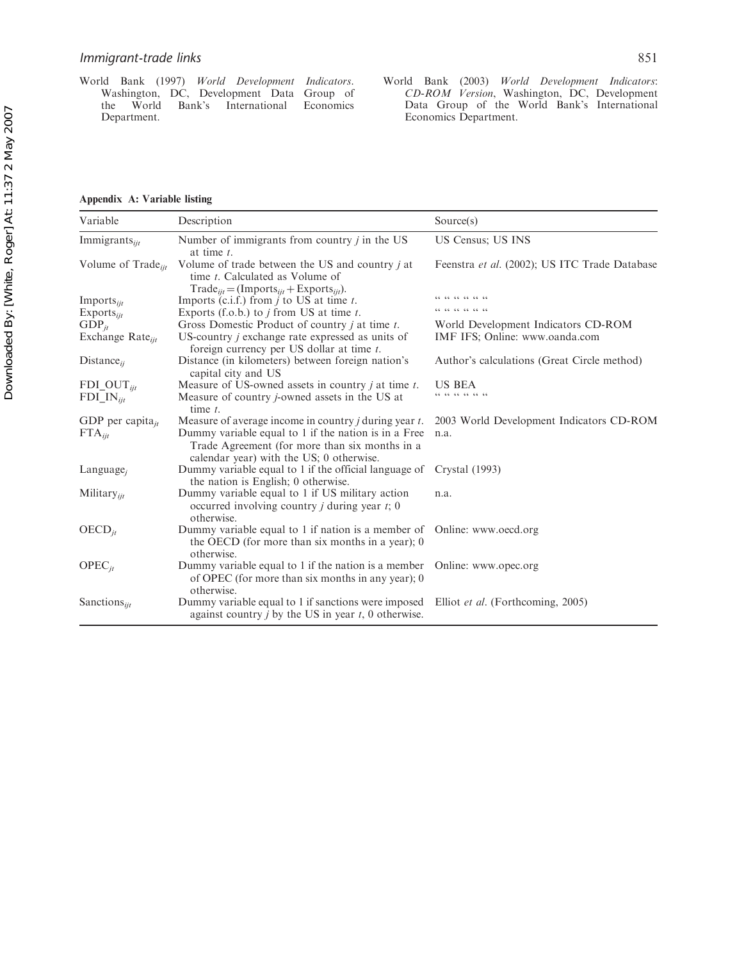- World Bank (1997) World Development Indicators. Washington, DC, Development Data Group of the World Bank's International Economics Department.
- World Bank (2003) World Development Indicators: CD-ROM Version, Washington, DC, Development Data Group of the World Bank's International Economics Department.

#### Appendix A: Variable listing

| Variable                                 | Description                                                                                                                                                        | Source(s)                                     |
|------------------------------------------|--------------------------------------------------------------------------------------------------------------------------------------------------------------------|-----------------------------------------------|
| Immigrants $_{ii}$                       | Number of immigrants from country $j$ in the US<br>at time $t$ .                                                                                                   | US Census; US INS                             |
| Volume of $Trade_{ii}$                   | Volume of trade between the US and country $j$ at<br>time <i>t</i> . Calculated as Volume of<br>$\text{Trade}_{ii} = (\text{Imports}_{ii} + \text{Exports}_{ii}).$ | Feenstra et al. (2002); US ITC Trade Database |
| $Imports_{ii}$                           | Imports (c.i.f.) from $j$ to US at time $t$ .                                                                                                                      | ce ee ee ee ee ee                             |
| $Exports_{ii}$                           | Exports (f.o.b.) to <i>j</i> from US at time <i>t</i> .                                                                                                            |                                               |
| $GDP_{it}$                               | Gross Domestic Product of country <i>i</i> at time <i>t</i> .                                                                                                      | World Development Indicators CD-ROM           |
| Exchange Rate <sub>iit</sub>             | US-country $j$ exchange rate expressed as units of<br>foreign currency per US dollar at time t.                                                                    | IMF IFS; Online: www.oanda.com                |
| Distance <sub>ii</sub>                   | Distance (in kilometers) between foreign nation's<br>capital city and US                                                                                           | Author's calculations (Great Circle method)   |
| $FDI_OUT_{ii}$                           | Measure of US-owned assets in country $j$ at time $t$ .                                                                                                            | <b>US BEA</b>                                 |
| $FDI$ <sub><i>IN<sub>iit</sub></i></sub> | Measure of country <i>j</i> -owned assets in the US at<br>time $t$ .                                                                                               | ce ce ce ce ce ce                             |
| GDP per capita <sub>it</sub>             | Measure of average income in country $j$ during year $t$ .                                                                                                         | 2003 World Development Indicators CD-ROM      |
| $FTA_{iit}$                              | Dummy variable equal to 1 if the nation is in a Free<br>Trade Agreement (for more than six months in a<br>calendar year) with the US; 0 otherwise.                 | n.a.                                          |
| $L$ anguage <sub>i</sub>                 | Dummy variable equal to 1 if the official language of<br>the nation is English; 0 otherwise.                                                                       | Crystal (1993)                                |
| Military $_{ii}$                         | Dummy variable equal to 1 if US military action<br>occurred involving country $i$ during year $t$ ; 0<br>otherwise.                                                | n.a.                                          |
| $OECD_{it}$                              | Dummy variable equal to 1 if nation is a member of<br>the OECD (for more than six months in a year); $0$<br>otherwise.                                             | Online: www.oecd.org                          |
| $OPEC_{it}$                              | Dummy variable equal to 1 if the nation is a member<br>of OPEC (for more than six months in any year); 0<br>otherwise.                                             | Online: www.opec.org                          |
| Sanctions <sub>iit</sub>                 | Dummy variable equal to 1 if sanctions were imposed<br>against country $i$ by the US in year $t$ , 0 otherwise.                                                    | Elliot et al. (Forthcoming, 2005)             |